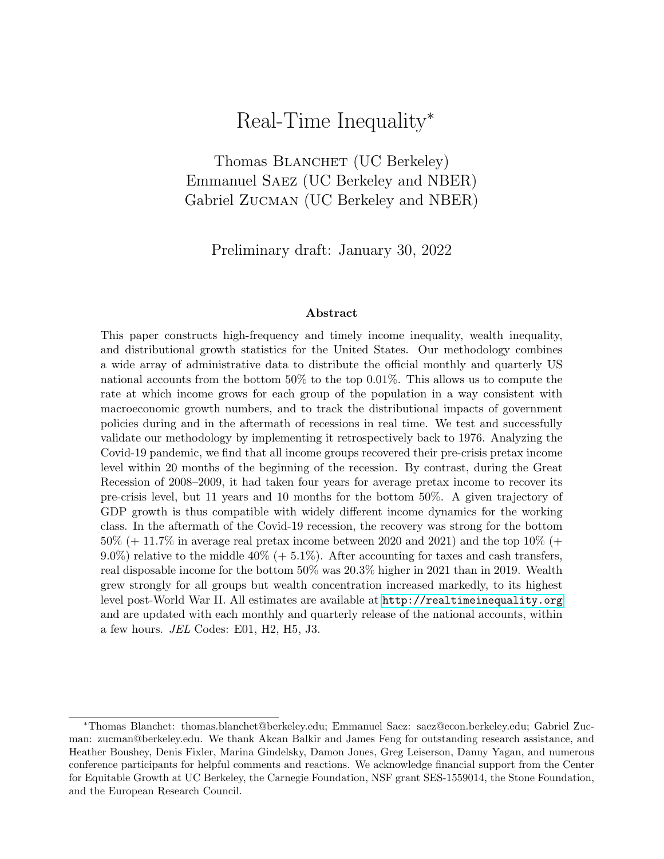# Real-Time Inequality<sup>∗</sup>

<span id="page-0-0"></span>Thomas BLANCHET (UC Berkeley) Emmanuel Saez (UC Berkeley and NBER) Gabriel Zucman (UC Berkeley and NBER)

Preliminary draft: January 30, 2022

#### Abstract

This paper constructs high-frequency and timely income inequality, wealth inequality, and distributional growth statistics for the United States. Our methodology combines a wide array of administrative data to distribute the official monthly and quarterly US national accounts from the bottom 50% to the top 0.01%. This allows us to compute the rate at which income grows for each group of the population in a way consistent with macroeconomic growth numbers, and to track the distributional impacts of government policies during and in the aftermath of recessions in real time. We test and successfully validate our methodology by implementing it retrospectively back to 1976. Analyzing the Covid-19 pandemic, we find that all income groups recovered their pre-crisis pretax income level within 20 months of the beginning of the recession. By contrast, during the Great Recession of 2008–2009, it had taken four years for average pretax income to recover its pre-crisis level, but 11 years and 10 months for the bottom 50%. A given trajectory of GDP growth is thus compatible with widely different income dynamics for the working class. In the aftermath of the Covid-19 recession, the recovery was strong for the bottom  $50\%$  (+ 11.7% in average real pretax income between 2020 and 2021) and the top 10% (+ 9.0%) relative to the middle 40% ( $+$  5.1%). After accounting for taxes and cash transfers, real disposable income for the bottom 50% was 20.3% higher in 2021 than in 2019. Wealth grew strongly for all groups but wealth concentration increased markedly, to its highest level post-World War II. All estimates are available at <http://realtimeinequality.org> and are updated with each monthly and quarterly release of the national accounts, within a few hours. JEL Codes: E01, H2, H5, J3.

<sup>∗</sup>Thomas Blanchet: thomas.blanchet@berkeley.edu; Emmanuel Saez: saez@econ.berkeley.edu; Gabriel Zucman: zucman@berkeley.edu. We thank Akcan Balkir and James Feng for outstanding research assistance, and Heather Boushey, Denis Fixler, Marina Gindelsky, Damon Jones, Greg Leiserson, Danny Yagan, and numerous conference participants for helpful comments and reactions. We acknowledge financial support from the Center for Equitable Growth at UC Berkeley, the Carnegie Foundation, NSF grant SES-1559014, the Stone Foundation, and the European Research Council.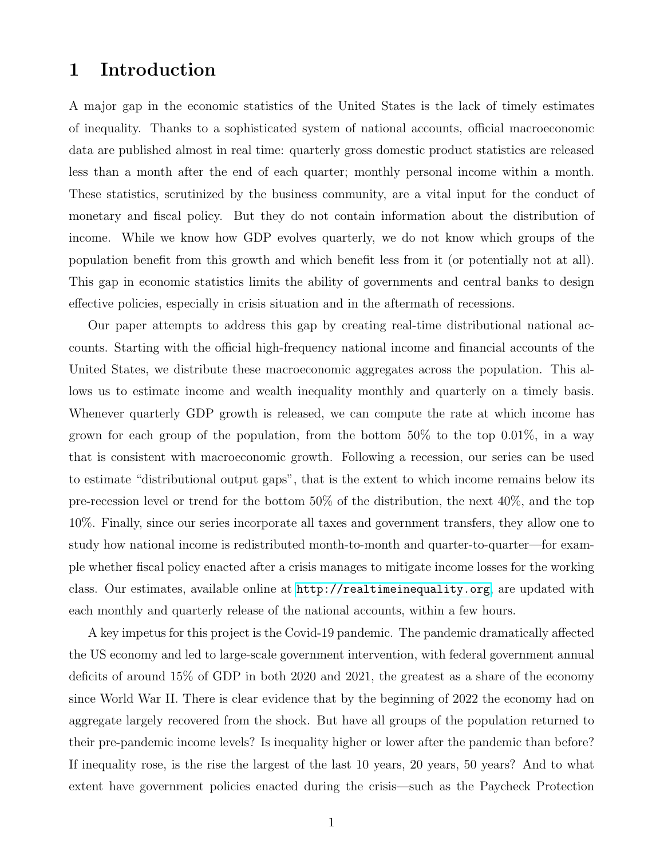## 1 Introduction

A major gap in the economic statistics of the United States is the lack of timely estimates of inequality. Thanks to a sophisticated system of national accounts, official macroeconomic data are published almost in real time: quarterly gross domestic product statistics are released less than a month after the end of each quarter; monthly personal income within a month. These statistics, scrutinized by the business community, are a vital input for the conduct of monetary and fiscal policy. But they do not contain information about the distribution of income. While we know how GDP evolves quarterly, we do not know which groups of the population benefit from this growth and which benefit less from it (or potentially not at all). This gap in economic statistics limits the ability of governments and central banks to design effective policies, especially in crisis situation and in the aftermath of recessions.

Our paper attempts to address this gap by creating real-time distributional national accounts. Starting with the official high-frequency national income and financial accounts of the United States, we distribute these macroeconomic aggregates across the population. This allows us to estimate income and wealth inequality monthly and quarterly on a timely basis. Whenever quarterly GDP growth is released, we can compute the rate at which income has grown for each group of the population, from the bottom  $50\%$  to the top  $0.01\%$ , in a way that is consistent with macroeconomic growth. Following a recession, our series can be used to estimate "distributional output gaps", that is the extent to which income remains below its pre-recession level or trend for the bottom 50% of the distribution, the next 40%, and the top 10%. Finally, since our series incorporate all taxes and government transfers, they allow one to study how national income is redistributed month-to-month and quarter-to-quarter—for example whether fiscal policy enacted after a crisis manages to mitigate income losses for the working class. Our estimates, available online at <http://realtimeinequality.org>, are updated with each monthly and quarterly release of the national accounts, within a few hours.

A key impetus for this project is the Covid-19 pandemic. The pandemic dramatically affected the US economy and led to large-scale government intervention, with federal government annual deficits of around 15% of GDP in both 2020 and 2021, the greatest as a share of the economy since World War II. There is clear evidence that by the beginning of 2022 the economy had on aggregate largely recovered from the shock. But have all groups of the population returned to their pre-pandemic income levels? Is inequality higher or lower after the pandemic than before? If inequality rose, is the rise the largest of the last 10 years, 20 years, 50 years? And to what extent have government policies enacted during the crisis—such as the Paycheck Protection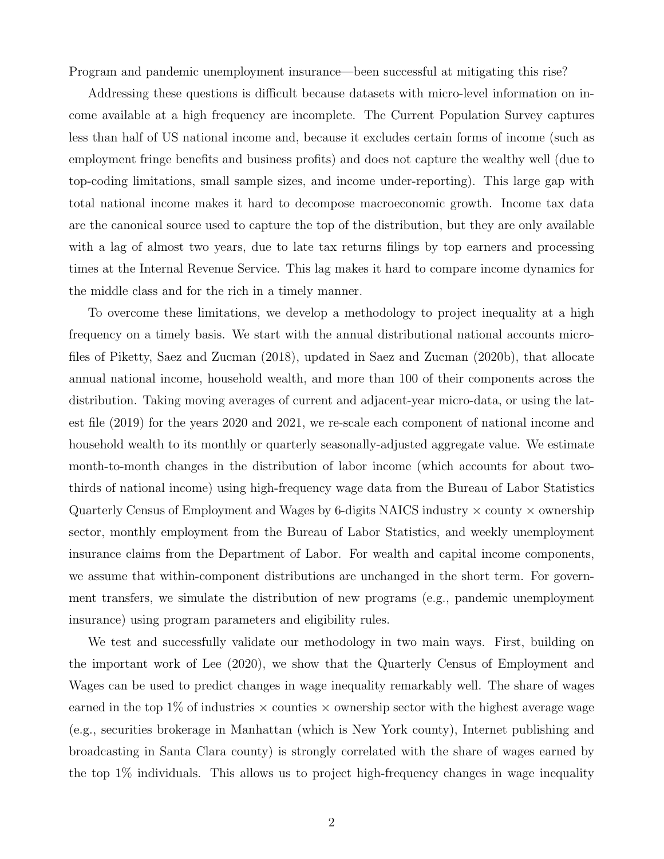Program and pandemic unemployment insurance—been successful at mitigating this rise?

Addressing these questions is difficult because datasets with micro-level information on income available at a high frequency are incomplete. The Current Population Survey captures less than half of US national income and, because it excludes certain forms of income (such as employment fringe benefits and business profits) and does not capture the wealthy well (due to top-coding limitations, small sample sizes, and income under-reporting). This large gap with total national income makes it hard to decompose macroeconomic growth. Income tax data are the canonical source used to capture the top of the distribution, but they are only available with a lag of almost two years, due to late tax returns filings by top earners and processing times at the Internal Revenue Service. This lag makes it hard to compare income dynamics for the middle class and for the rich in a timely manner.

To overcome these limitations, we develop a methodology to project inequality at a high frequency on a timely basis. We start with the annual distributional national accounts microfiles of Piketty, Saez and Zucman (2018), updated in Saez and Zucman (2020b), that allocate annual national income, household wealth, and more than 100 of their components across the distribution. Taking moving averages of current and adjacent-year micro-data, or using the latest file (2019) for the years 2020 and 2021, we re-scale each component of national income and household wealth to its monthly or quarterly seasonally-adjusted aggregate value. We estimate month-to-month changes in the distribution of labor income (which accounts for about twothirds of national income) using high-frequency wage data from the Bureau of Labor Statistics Quarterly Census of Employment and Wages by 6-digits NAICS industry  $\times$  county  $\times$  ownership sector, monthly employment from the Bureau of Labor Statistics, and weekly unemployment insurance claims from the Department of Labor. For wealth and capital income components, we assume that within-component distributions are unchanged in the short term. For government transfers, we simulate the distribution of new programs (e.g., pandemic unemployment insurance) using program parameters and eligibility rules.

We test and successfully validate our methodology in two main ways. First, building on the important work of Lee (2020), we show that the Quarterly Census of Employment and Wages can be used to predict changes in wage inequality remarkably well. The share of wages earned in the top 1% of industries  $\times$  counties  $\times$  ownership sector with the highest average wage (e.g., securities brokerage in Manhattan (which is New York county), Internet publishing and broadcasting in Santa Clara county) is strongly correlated with the share of wages earned by the top 1% individuals. This allows us to project high-frequency changes in wage inequality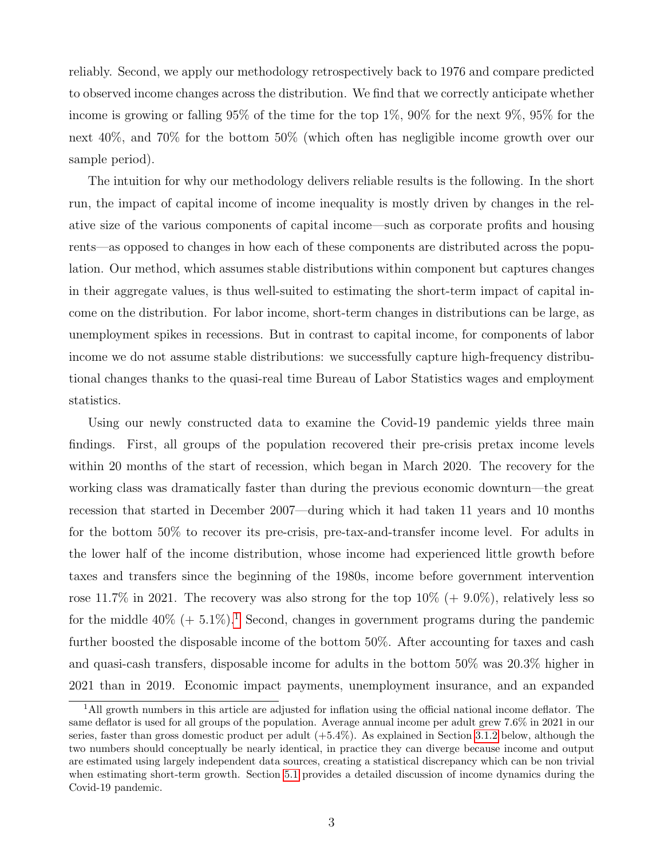reliably. Second, we apply our methodology retrospectively back to 1976 and compare predicted to observed income changes across the distribution. We find that we correctly anticipate whether income is growing or falling 95% of the time for the top 1%, 90% for the next 9%, 95% for the next 40%, and 70% for the bottom 50% (which often has negligible income growth over our sample period).

The intuition for why our methodology delivers reliable results is the following. In the short run, the impact of capital income of income inequality is mostly driven by changes in the relative size of the various components of capital income—such as corporate profits and housing rents—as opposed to changes in how each of these components are distributed across the population. Our method, which assumes stable distributions within component but captures changes in their aggregate values, is thus well-suited to estimating the short-term impact of capital income on the distribution. For labor income, short-term changes in distributions can be large, as unemployment spikes in recessions. But in contrast to capital income, for components of labor income we do not assume stable distributions: we successfully capture high-frequency distributional changes thanks to the quasi-real time Bureau of Labor Statistics wages and employment statistics.

Using our newly constructed data to examine the Covid-19 pandemic yields three main findings. First, all groups of the population recovered their pre-crisis pretax income levels within 20 months of the start of recession, which began in March 2020. The recovery for the working class was dramatically faster than during the previous economic downturn—the great recession that started in December 2007—during which it had taken 11 years and 10 months for the bottom 50% to recover its pre-crisis, pre-tax-and-transfer income level. For adults in the lower half of the income distribution, whose income had experienced little growth before taxes and transfers since the beginning of the 1980s, income before government intervention rose 11.7% in 2021. The recovery was also strong for the top  $10\% (+ 9.0\%)$ , relatively less so for the middle  $40\%$  (+ 5.[1](#page-0-0)%).<sup>1</sup> Second, changes in government programs during the pandemic further boosted the disposable income of the bottom 50%. After accounting for taxes and cash and quasi-cash transfers, disposable income for adults in the bottom 50% was 20.3% higher in 2021 than in 2019. Economic impact payments, unemployment insurance, and an expanded

<sup>1</sup>All growth numbers in this article are adjusted for inflation using the official national income deflator. The same deflator is used for all groups of the population. Average annual income per adult grew 7.6% in 2021 in our series, faster than gross domestic product per adult (+5.4%). As explained in Section [3.1.2](#page-9-0) below, although the two numbers should conceptually be nearly identical, in practice they can diverge because income and output are estimated using largely independent data sources, creating a statistical discrepancy which can be non trivial when estimating short-term growth. Section [5.1](#page-17-0) provides a detailed discussion of income dynamics during the Covid-19 pandemic.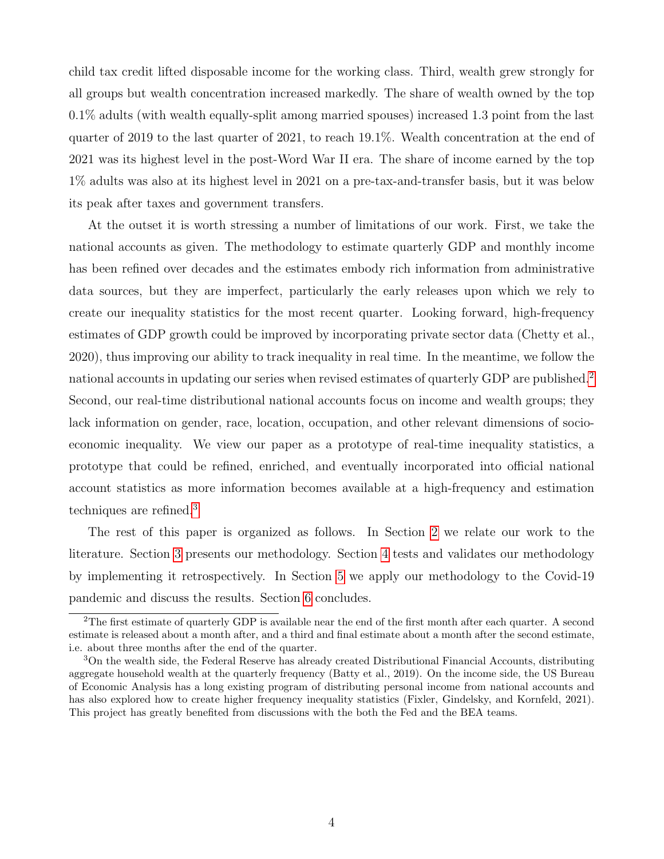child tax credit lifted disposable income for the working class. Third, wealth grew strongly for all groups but wealth concentration increased markedly. The share of wealth owned by the top 0.1% adults (with wealth equally-split among married spouses) increased 1.3 point from the last quarter of 2019 to the last quarter of 2021, to reach 19.1%. Wealth concentration at the end of 2021 was its highest level in the post-Word War II era. The share of income earned by the top 1% adults was also at its highest level in 2021 on a pre-tax-and-transfer basis, but it was below its peak after taxes and government transfers.

At the outset it is worth stressing a number of limitations of our work. First, we take the national accounts as given. The methodology to estimate quarterly GDP and monthly income has been refined over decades and the estimates embody rich information from administrative data sources, but they are imperfect, particularly the early releases upon which we rely to create our inequality statistics for the most recent quarter. Looking forward, high-frequency estimates of GDP growth could be improved by incorporating private sector data (Chetty et al., 2020), thus improving our ability to track inequality in real time. In the meantime, we follow the national accounts in updating our series when revised estimates of quarterly GDP are published.[2](#page-0-0) Second, our real-time distributional national accounts focus on income and wealth groups; they lack information on gender, race, location, occupation, and other relevant dimensions of socioeconomic inequality. We view our paper as a prototype of real-time inequality statistics, a prototype that could be refined, enriched, and eventually incorporated into official national account statistics as more information becomes available at a high-frequency and estimation techniques are refined.[3](#page-0-0)

The rest of this paper is organized as follows. In Section [2](#page-5-0) we relate our work to the literature. Section [3](#page-7-0) presents our methodology. Section [4](#page-16-0) tests and validates our methodology by implementing it retrospectively. In Section [5](#page-17-1) we apply our methodology to the Covid-19 pandemic and discuss the results. Section [6](#page-22-0) concludes.

<sup>2</sup>The first estimate of quarterly GDP is available near the end of the first month after each quarter. A second estimate is released about a month after, and a third and final estimate about a month after the second estimate, i.e. about three months after the end of the quarter.

<sup>3</sup>On the wealth side, the Federal Reserve has already created Distributional Financial Accounts, distributing aggregate household wealth at the quarterly frequency (Batty et al., 2019). On the income side, the US Bureau of Economic Analysis has a long existing program of distributing personal income from national accounts and has also explored how to create higher frequency inequality statistics (Fixler, Gindelsky, and Kornfeld, 2021). This project has greatly benefited from discussions with the both the Fed and the BEA teams.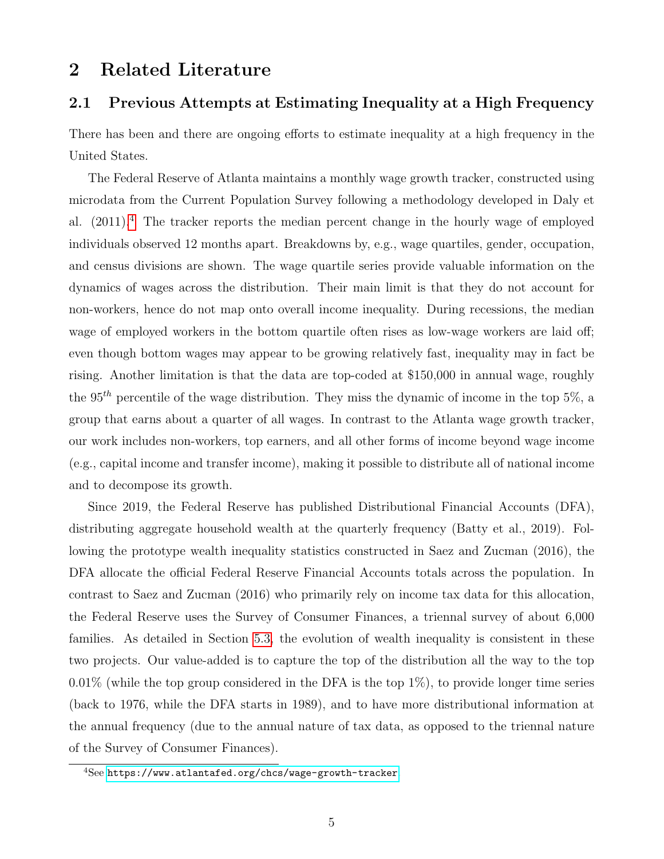## <span id="page-5-0"></span>2 Related Literature

## 2.1 Previous Attempts at Estimating Inequality at a High Frequency

There has been and there are ongoing efforts to estimate inequality at a high frequency in the United States.

The Federal Reserve of Atlanta maintains a monthly wage growth tracker, constructed using microdata from the Current Population Survey following a methodology developed in Daly et al.  $(2011)^4$  $(2011)^4$ . The tracker reports the median percent change in the hourly wage of employed individuals observed 12 months apart. Breakdowns by, e.g., wage quartiles, gender, occupation, and census divisions are shown. The wage quartile series provide valuable information on the dynamics of wages across the distribution. Their main limit is that they do not account for non-workers, hence do not map onto overall income inequality. During recessions, the median wage of employed workers in the bottom quartile often rises as low-wage workers are laid off; even though bottom wages may appear to be growing relatively fast, inequality may in fact be rising. Another limitation is that the data are top-coded at \$150,000 in annual wage, roughly the 95<sup>th</sup> percentile of the wage distribution. They miss the dynamic of income in the top 5\%, a group that earns about a quarter of all wages. In contrast to the Atlanta wage growth tracker, our work includes non-workers, top earners, and all other forms of income beyond wage income (e.g., capital income and transfer income), making it possible to distribute all of national income and to decompose its growth.

Since 2019, the Federal Reserve has published Distributional Financial Accounts (DFA), distributing aggregate household wealth at the quarterly frequency (Batty et al., 2019). Following the prototype wealth inequality statistics constructed in Saez and Zucman (2016), the DFA allocate the official Federal Reserve Financial Accounts totals across the population. In contrast to Saez and Zucman (2016) who primarily rely on income tax data for this allocation, the Federal Reserve uses the Survey of Consumer Finances, a triennal survey of about 6,000 families. As detailed in Section [5.3,](#page-21-0) the evolution of wealth inequality is consistent in these two projects. Our value-added is to capture the top of the distribution all the way to the top  $0.01\%$  (while the top group considered in the DFA is the top  $1\%$ ), to provide longer time series (back to 1976, while the DFA starts in 1989), and to have more distributional information at the annual frequency (due to the annual nature of tax data, as opposed to the triennal nature of the Survey of Consumer Finances).

<sup>4</sup>See <https://www.atlantafed.org/chcs/wage-growth-tracker>.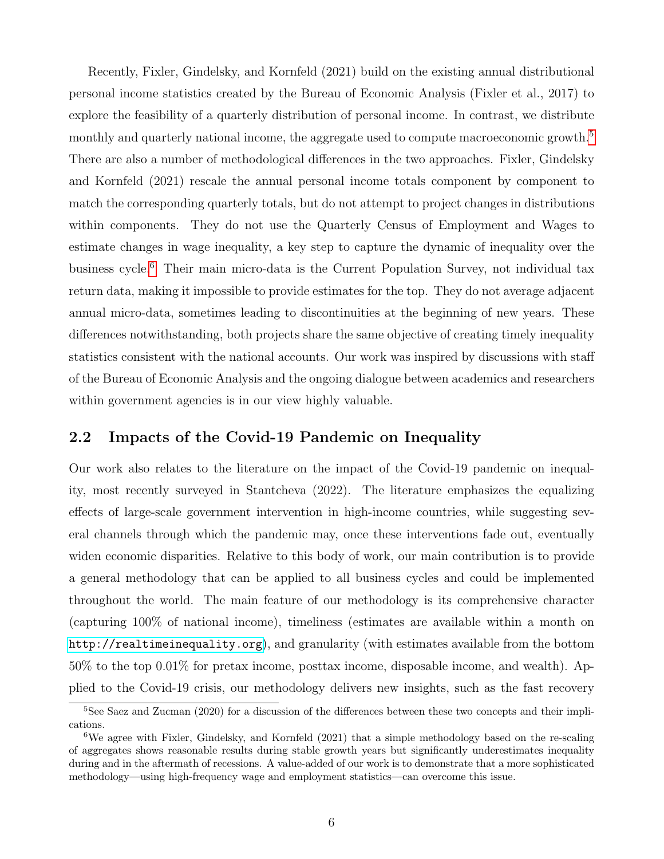Recently, Fixler, Gindelsky, and Kornfeld (2021) build on the existing annual distributional personal income statistics created by the Bureau of Economic Analysis (Fixler et al., 2017) to explore the feasibility of a quarterly distribution of personal income. In contrast, we distribute monthly and quarterly national income, the aggregate used to compute macroeconomic growth.<sup>[5](#page-0-0)</sup> There are also a number of methodological differences in the two approaches. Fixler, Gindelsky and Kornfeld (2021) rescale the annual personal income totals component by component to match the corresponding quarterly totals, but do not attempt to project changes in distributions within components. They do not use the Quarterly Census of Employment and Wages to estimate changes in wage inequality, a key step to capture the dynamic of inequality over the business cycle.[6](#page-0-0) Their main micro-data is the Current Population Survey, not individual tax return data, making it impossible to provide estimates for the top. They do not average adjacent annual micro-data, sometimes leading to discontinuities at the beginning of new years. These differences notwithstanding, both projects share the same objective of creating timely inequality statistics consistent with the national accounts. Our work was inspired by discussions with staff of the Bureau of Economic Analysis and the ongoing dialogue between academics and researchers within government agencies is in our view highly valuable.

## 2.2 Impacts of the Covid-19 Pandemic on Inequality

Our work also relates to the literature on the impact of the Covid-19 pandemic on inequality, most recently surveyed in Stantcheva (2022). The literature emphasizes the equalizing effects of large-scale government intervention in high-income countries, while suggesting several channels through which the pandemic may, once these interventions fade out, eventually widen economic disparities. Relative to this body of work, our main contribution is to provide a general methodology that can be applied to all business cycles and could be implemented throughout the world. The main feature of our methodology is its comprehensive character (capturing 100% of national income), timeliness (estimates are available within a month on <http://realtimeinequality.org>), and granularity (with estimates available from the bottom 50% to the top 0.01% for pretax income, posttax income, disposable income, and wealth). Applied to the Covid-19 crisis, our methodology delivers new insights, such as the fast recovery

<sup>&</sup>lt;sup>5</sup>See Saez and Zucman (2020) for a discussion of the differences between these two concepts and their implications.

<sup>6</sup>We agree with Fixler, Gindelsky, and Kornfeld (2021) that a simple methodology based on the re-scaling of aggregates shows reasonable results during stable growth years but significantly underestimates inequality during and in the aftermath of recessions. A value-added of our work is to demonstrate that a more sophisticated methodology—using high-frequency wage and employment statistics—can overcome this issue.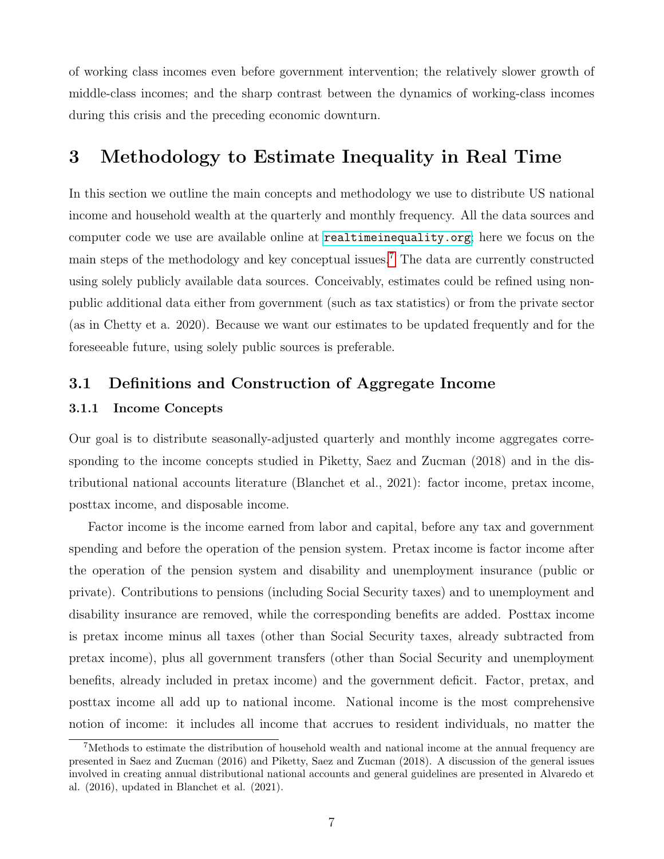of working class incomes even before government intervention; the relatively slower growth of middle-class incomes; and the sharp contrast between the dynamics of working-class incomes during this crisis and the preceding economic downturn.

## <span id="page-7-0"></span>3 Methodology to Estimate Inequality in Real Time

In this section we outline the main concepts and methodology we use to distribute US national income and household wealth at the quarterly and monthly frequency. All the data sources and computer code we use are available online at <realtimeinequality.org>; here we focus on the main steps of the methodology and key conceptual issues.[7](#page-0-0) The data are currently constructed using solely publicly available data sources. Conceivably, estimates could be refined using nonpublic additional data either from government (such as tax statistics) or from the private sector (as in Chetty et a. 2020). Because we want our estimates to be updated frequently and for the foreseeable future, using solely public sources is preferable.

## 3.1 Definitions and Construction of Aggregate Income

### 3.1.1 Income Concepts

Our goal is to distribute seasonally-adjusted quarterly and monthly income aggregates corresponding to the income concepts studied in Piketty, Saez and Zucman (2018) and in the distributional national accounts literature (Blanchet et al., 2021): factor income, pretax income, posttax income, and disposable income.

Factor income is the income earned from labor and capital, before any tax and government spending and before the operation of the pension system. Pretax income is factor income after the operation of the pension system and disability and unemployment insurance (public or private). Contributions to pensions (including Social Security taxes) and to unemployment and disability insurance are removed, while the corresponding benefits are added. Posttax income is pretax income minus all taxes (other than Social Security taxes, already subtracted from pretax income), plus all government transfers (other than Social Security and unemployment benefits, already included in pretax income) and the government deficit. Factor, pretax, and posttax income all add up to national income. National income is the most comprehensive notion of income: it includes all income that accrues to resident individuals, no matter the

<sup>&</sup>lt;sup>7</sup>Methods to estimate the distribution of household wealth and national income at the annual frequency are presented in Saez and Zucman (2016) and Piketty, Saez and Zucman (2018). A discussion of the general issues involved in creating annual distributional national accounts and general guidelines are presented in Alvaredo et al. (2016), updated in Blanchet et al. (2021).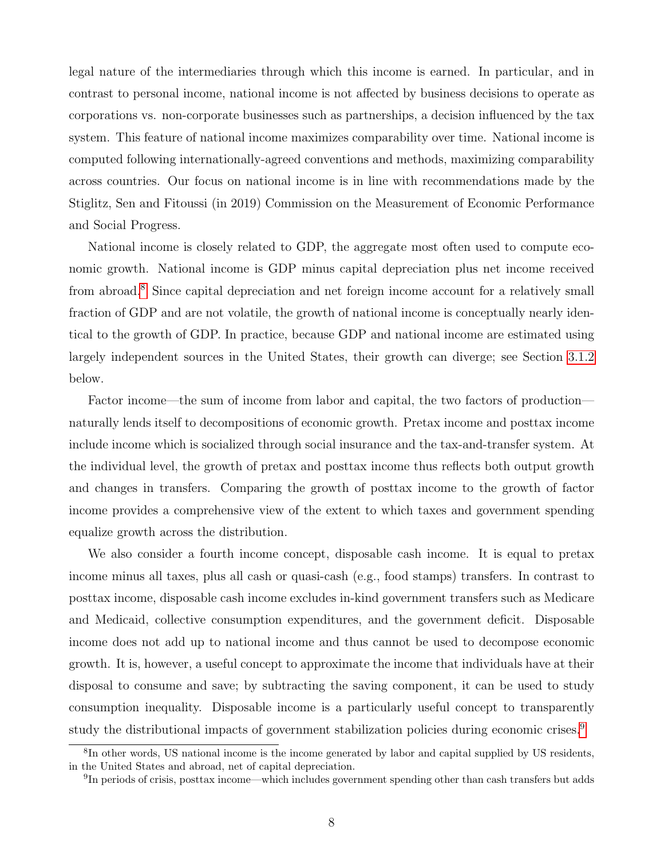legal nature of the intermediaries through which this income is earned. In particular, and in contrast to personal income, national income is not affected by business decisions to operate as corporations vs. non-corporate businesses such as partnerships, a decision influenced by the tax system. This feature of national income maximizes comparability over time. National income is computed following internationally-agreed conventions and methods, maximizing comparability across countries. Our focus on national income is in line with recommendations made by the Stiglitz, Sen and Fitoussi (in 2019) Commission on the Measurement of Economic Performance and Social Progress.

National income is closely related to GDP, the aggregate most often used to compute economic growth. National income is GDP minus capital depreciation plus net income received from abroad.[8](#page-0-0) Since capital depreciation and net foreign income account for a relatively small fraction of GDP and are not volatile, the growth of national income is conceptually nearly identical to the growth of GDP. In practice, because GDP and national income are estimated using largely independent sources in the United States, their growth can diverge; see Section [3.1.2](#page-9-0) below.

Factor income—the sum of income from labor and capital, the two factors of production naturally lends itself to decompositions of economic growth. Pretax income and posttax income include income which is socialized through social insurance and the tax-and-transfer system. At the individual level, the growth of pretax and posttax income thus reflects both output growth and changes in transfers. Comparing the growth of posttax income to the growth of factor income provides a comprehensive view of the extent to which taxes and government spending equalize growth across the distribution.

We also consider a fourth income concept, disposable cash income. It is equal to pretax income minus all taxes, plus all cash or quasi-cash (e.g., food stamps) transfers. In contrast to posttax income, disposable cash income excludes in-kind government transfers such as Medicare and Medicaid, collective consumption expenditures, and the government deficit. Disposable income does not add up to national income and thus cannot be used to decompose economic growth. It is, however, a useful concept to approximate the income that individuals have at their disposal to consume and save; by subtracting the saving component, it can be used to study consumption inequality. Disposable income is a particularly useful concept to transparently study the distributional impacts of government stabilization policies during economic crises.<sup>[9](#page-0-0)</sup>

<sup>&</sup>lt;sup>8</sup>In other words, US national income is the income generated by labor and capital supplied by US residents, in the United States and abroad, net of capital depreciation.

<sup>&</sup>lt;sup>9</sup>In periods of crisis, posttax income—which includes government spending other than cash transfers but adds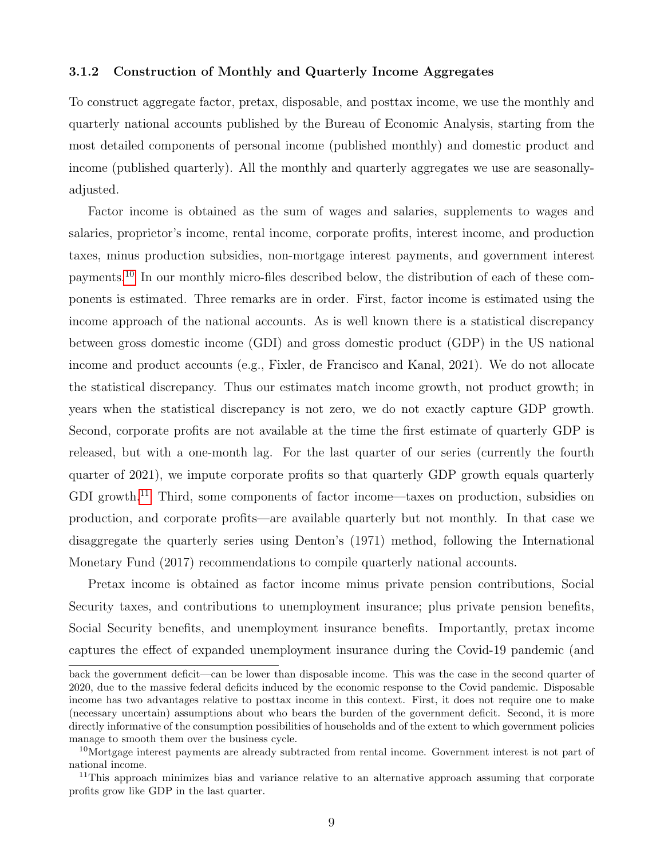#### <span id="page-9-0"></span>3.1.2 Construction of Monthly and Quarterly Income Aggregates

To construct aggregate factor, pretax, disposable, and posttax income, we use the monthly and quarterly national accounts published by the Bureau of Economic Analysis, starting from the most detailed components of personal income (published monthly) and domestic product and income (published quarterly). All the monthly and quarterly aggregates we use are seasonallyadjusted.

Factor income is obtained as the sum of wages and salaries, supplements to wages and salaries, proprietor's income, rental income, corporate profits, interest income, and production taxes, minus production subsidies, non-mortgage interest payments, and government interest payments.[10](#page-0-0) In our monthly micro-files described below, the distribution of each of these components is estimated. Three remarks are in order. First, factor income is estimated using the income approach of the national accounts. As is well known there is a statistical discrepancy between gross domestic income (GDI) and gross domestic product (GDP) in the US national income and product accounts (e.g., Fixler, de Francisco and Kanal, 2021). We do not allocate the statistical discrepancy. Thus our estimates match income growth, not product growth; in years when the statistical discrepancy is not zero, we do not exactly capture GDP growth. Second, corporate profits are not available at the time the first estimate of quarterly GDP is released, but with a one-month lag. For the last quarter of our series (currently the fourth quarter of 2021), we impute corporate profits so that quarterly GDP growth equals quarterly GDI growth.<sup>[11](#page-0-0)</sup> Third, some components of factor income—taxes on production, subsidies on production, and corporate profits—are available quarterly but not monthly. In that case we disaggregate the quarterly series using Denton's (1971) method, following the International Monetary Fund (2017) recommendations to compile quarterly national accounts.

Pretax income is obtained as factor income minus private pension contributions, Social Security taxes, and contributions to unemployment insurance; plus private pension benefits, Social Security benefits, and unemployment insurance benefits. Importantly, pretax income captures the effect of expanded unemployment insurance during the Covid-19 pandemic (and

back the government deficit—can be lower than disposable income. This was the case in the second quarter of 2020, due to the massive federal deficits induced by the economic response to the Covid pandemic. Disposable income has two advantages relative to posttax income in this context. First, it does not require one to make (necessary uncertain) assumptions about who bears the burden of the government deficit. Second, it is more directly informative of the consumption possibilities of households and of the extent to which government policies manage to smooth them over the business cycle.

<sup>&</sup>lt;sup>10</sup>Mortgage interest payments are already subtracted from rental income. Government interest is not part of national income.

<sup>11</sup>This approach minimizes bias and variance relative to an alternative approach assuming that corporate profits grow like GDP in the last quarter.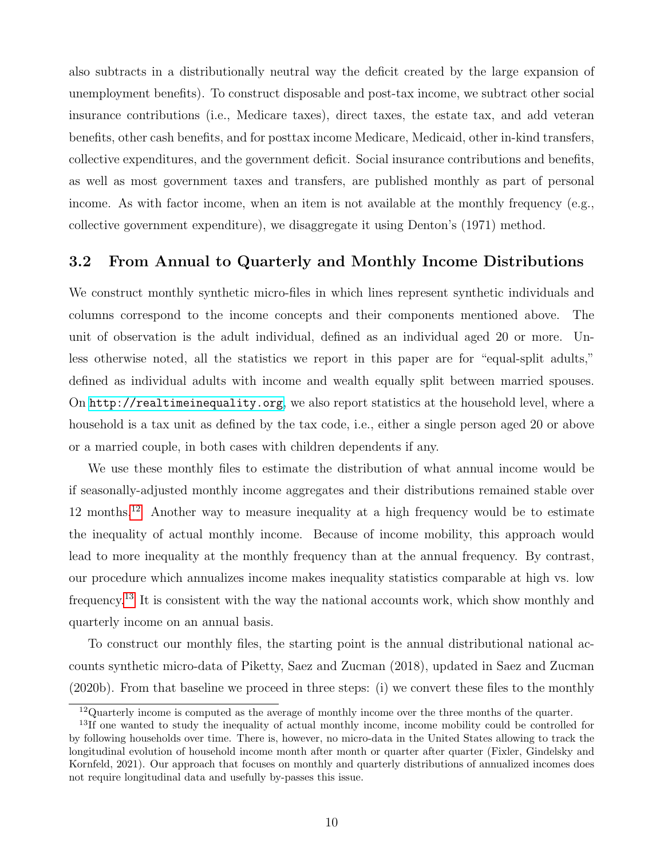also subtracts in a distributionally neutral way the deficit created by the large expansion of unemployment benefits). To construct disposable and post-tax income, we subtract other social insurance contributions (i.e., Medicare taxes), direct taxes, the estate tax, and add veteran benefits, other cash benefits, and for posttax income Medicare, Medicaid, other in-kind transfers, collective expenditures, and the government deficit. Social insurance contributions and benefits, as well as most government taxes and transfers, are published monthly as part of personal income. As with factor income, when an item is not available at the monthly frequency (e.g., collective government expenditure), we disaggregate it using Denton's (1971) method.

## 3.2 From Annual to Quarterly and Monthly Income Distributions

We construct monthly synthetic micro-files in which lines represent synthetic individuals and columns correspond to the income concepts and their components mentioned above. The unit of observation is the adult individual, defined as an individual aged 20 or more. Unless otherwise noted, all the statistics we report in this paper are for "equal-split adults," defined as individual adults with income and wealth equally split between married spouses. On <http://realtimeinequality.org>, we also report statistics at the household level, where a household is a tax unit as defined by the tax code, i.e., either a single person aged 20 or above or a married couple, in both cases with children dependents if any.

We use these monthly files to estimate the distribution of what annual income would be if seasonally-adjusted monthly income aggregates and their distributions remained stable over 12 months.[12](#page-0-0) Another way to measure inequality at a high frequency would be to estimate the inequality of actual monthly income. Because of income mobility, this approach would lead to more inequality at the monthly frequency than at the annual frequency. By contrast, our procedure which annualizes income makes inequality statistics comparable at high vs. low frequency.[13](#page-0-0) It is consistent with the way the national accounts work, which show monthly and quarterly income on an annual basis.

To construct our monthly files, the starting point is the annual distributional national accounts synthetic micro-data of Piketty, Saez and Zucman (2018), updated in Saez and Zucman (2020b). From that baseline we proceed in three steps: (i) we convert these files to the monthly

<sup>12</sup>Quarterly income is computed as the average of monthly income over the three months of the quarter.

<sup>&</sup>lt;sup>13</sup>If one wanted to study the inequality of actual monthly income, income mobility could be controlled for by following households over time. There is, however, no micro-data in the United States allowing to track the longitudinal evolution of household income month after month or quarter after quarter (Fixler, Gindelsky and Kornfeld, 2021). Our approach that focuses on monthly and quarterly distributions of annualized incomes does not require longitudinal data and usefully by-passes this issue.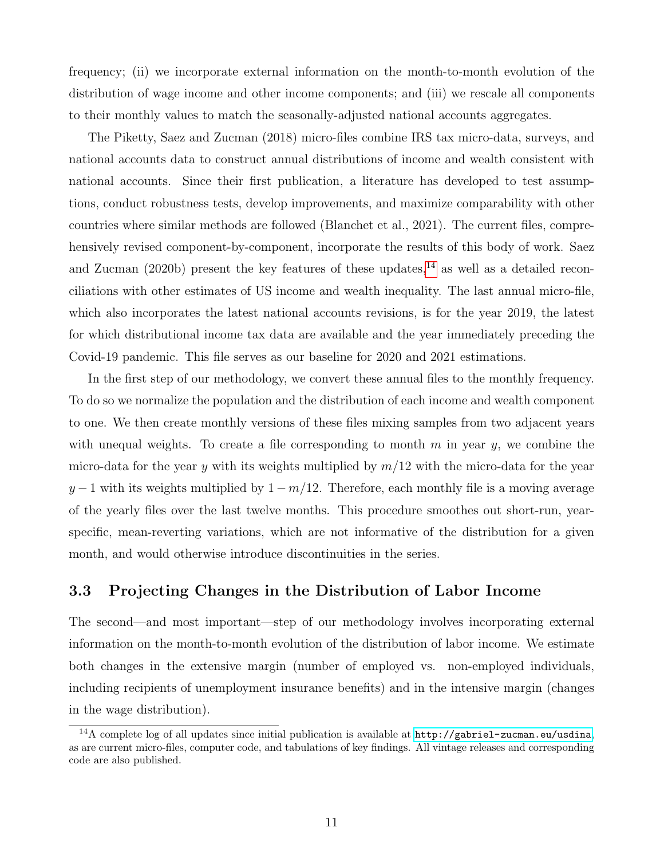frequency; (ii) we incorporate external information on the month-to-month evolution of the distribution of wage income and other income components; and (iii) we rescale all components to their monthly values to match the seasonally-adjusted national accounts aggregates.

The Piketty, Saez and Zucman (2018) micro-files combine IRS tax micro-data, surveys, and national accounts data to construct annual distributions of income and wealth consistent with national accounts. Since their first publication, a literature has developed to test assumptions, conduct robustness tests, develop improvements, and maximize comparability with other countries where similar methods are followed (Blanchet et al., 2021). The current files, comprehensively revised component-by-component, incorporate the results of this body of work. Saez and Zucman (2020b) present the key features of these updates,<sup>[14](#page-0-0)</sup> as well as a detailed reconciliations with other estimates of US income and wealth inequality. The last annual micro-file, which also incorporates the latest national accounts revisions, is for the year 2019, the latest for which distributional income tax data are available and the year immediately preceding the Covid-19 pandemic. This file serves as our baseline for 2020 and 2021 estimations.

In the first step of our methodology, we convert these annual files to the monthly frequency. To do so we normalize the population and the distribution of each income and wealth component to one. We then create monthly versions of these files mixing samples from two adjacent years with unequal weights. To create a file corresponding to month  $m$  in year  $y$ , we combine the micro-data for the year y with its weights multiplied by  $m/12$  with the micro-data for the year  $y-1$  with its weights multiplied by  $1-m/12$ . Therefore, each monthly file is a moving average of the yearly files over the last twelve months. This procedure smoothes out short-run, yearspecific, mean-reverting variations, which are not informative of the distribution for a given month, and would otherwise introduce discontinuities in the series.

## 3.3 Projecting Changes in the Distribution of Labor Income

The second—and most important—step of our methodology involves incorporating external information on the month-to-month evolution of the distribution of labor income. We estimate both changes in the extensive margin (number of employed vs. non-employed individuals, including recipients of unemployment insurance benefits) and in the intensive margin (changes in the wage distribution).

<sup>14</sup>A complete log of all updates since initial publication is available at <http://gabriel-zucman.eu/usdina>, as are current micro-files, computer code, and tabulations of key findings. All vintage releases and corresponding code are also published.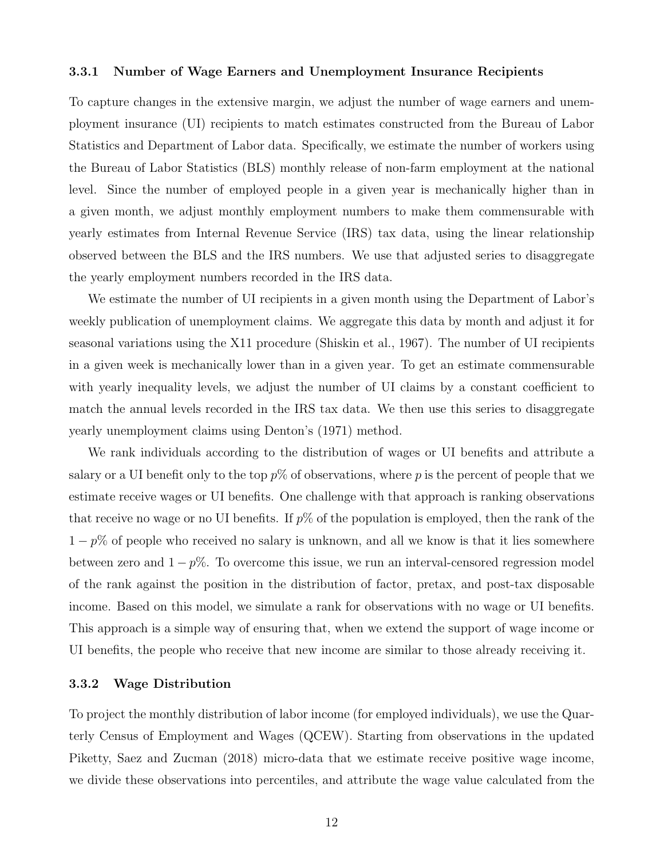#### 3.3.1 Number of Wage Earners and Unemployment Insurance Recipients

To capture changes in the extensive margin, we adjust the number of wage earners and unemployment insurance (UI) recipients to match estimates constructed from the Bureau of Labor Statistics and Department of Labor data. Specifically, we estimate the number of workers using the Bureau of Labor Statistics (BLS) monthly release of non-farm employment at the national level. Since the number of employed people in a given year is mechanically higher than in a given month, we adjust monthly employment numbers to make them commensurable with yearly estimates from Internal Revenue Service (IRS) tax data, using the linear relationship observed between the BLS and the IRS numbers. We use that adjusted series to disaggregate the yearly employment numbers recorded in the IRS data.

We estimate the number of UI recipients in a given month using the Department of Labor's weekly publication of unemployment claims. We aggregate this data by month and adjust it for seasonal variations using the X11 procedure (Shiskin et al., 1967). The number of UI recipients in a given week is mechanically lower than in a given year. To get an estimate commensurable with yearly inequality levels, we adjust the number of UI claims by a constant coefficient to match the annual levels recorded in the IRS tax data. We then use this series to disaggregate yearly unemployment claims using Denton's (1971) method.

We rank individuals according to the distribution of wages or UI benefits and attribute a salary or a UI benefit only to the top  $p\%$  of observations, where p is the percent of people that we estimate receive wages or UI benefits. One challenge with that approach is ranking observations that receive no wage or no UI benefits. If  $p\%$  of the population is employed, then the rank of the  $1-p\%$  of people who received no salary is unknown, and all we know is that it lies somewhere between zero and  $1 - p\%$ . To overcome this issue, we run an interval-censored regression model of the rank against the position in the distribution of factor, pretax, and post-tax disposable income. Based on this model, we simulate a rank for observations with no wage or UI benefits. This approach is a simple way of ensuring that, when we extend the support of wage income or UI benefits, the people who receive that new income are similar to those already receiving it.

#### 3.3.2 Wage Distribution

To project the monthly distribution of labor income (for employed individuals), we use the Quarterly Census of Employment and Wages (QCEW). Starting from observations in the updated Piketty, Saez and Zucman (2018) micro-data that we estimate receive positive wage income, we divide these observations into percentiles, and attribute the wage value calculated from the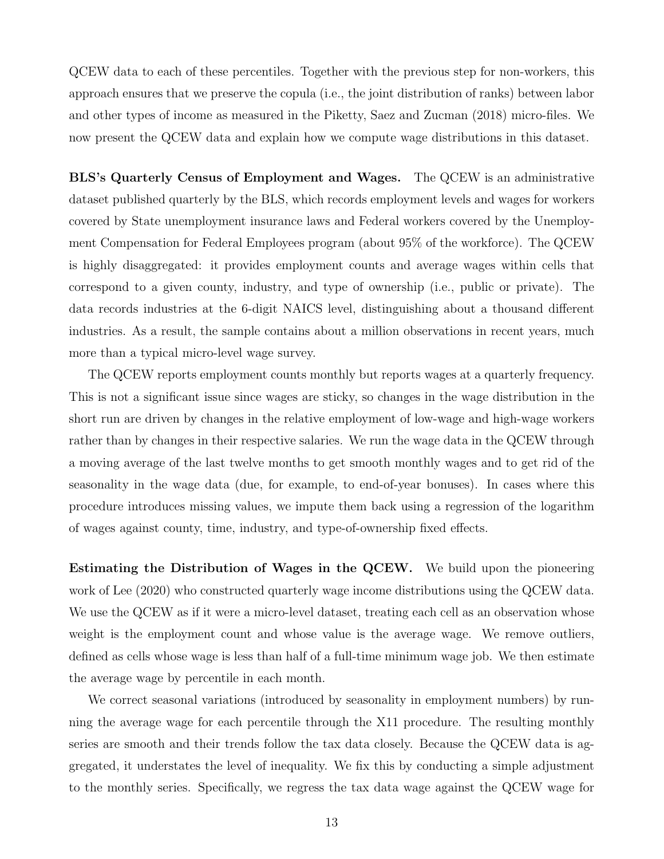QCEW data to each of these percentiles. Together with the previous step for non-workers, this approach ensures that we preserve the copula (i.e., the joint distribution of ranks) between labor and other types of income as measured in the Piketty, Saez and Zucman (2018) micro-files. We now present the QCEW data and explain how we compute wage distributions in this dataset.

BLS's Quarterly Census of Employment and Wages. The QCEW is an administrative dataset published quarterly by the BLS, which records employment levels and wages for workers covered by State unemployment insurance laws and Federal workers covered by the Unemployment Compensation for Federal Employees program (about 95% of the workforce). The QCEW is highly disaggregated: it provides employment counts and average wages within cells that correspond to a given county, industry, and type of ownership (i.e., public or private). The data records industries at the 6-digit NAICS level, distinguishing about a thousand different industries. As a result, the sample contains about a million observations in recent years, much more than a typical micro-level wage survey.

The QCEW reports employment counts monthly but reports wages at a quarterly frequency. This is not a significant issue since wages are sticky, so changes in the wage distribution in the short run are driven by changes in the relative employment of low-wage and high-wage workers rather than by changes in their respective salaries. We run the wage data in the QCEW through a moving average of the last twelve months to get smooth monthly wages and to get rid of the seasonality in the wage data (due, for example, to end-of-year bonuses). In cases where this procedure introduces missing values, we impute them back using a regression of the logarithm of wages against county, time, industry, and type-of-ownership fixed effects.

Estimating the Distribution of Wages in the QCEW. We build upon the pioneering work of Lee (2020) who constructed quarterly wage income distributions using the QCEW data. We use the QCEW as if it were a micro-level dataset, treating each cell as an observation whose weight is the employment count and whose value is the average wage. We remove outliers, defined as cells whose wage is less than half of a full-time minimum wage job. We then estimate the average wage by percentile in each month.

We correct seasonal variations (introduced by seasonality in employment numbers) by running the average wage for each percentile through the X11 procedure. The resulting monthly series are smooth and their trends follow the tax data closely. Because the QCEW data is aggregated, it understates the level of inequality. We fix this by conducting a simple adjustment to the monthly series. Specifically, we regress the tax data wage against the QCEW wage for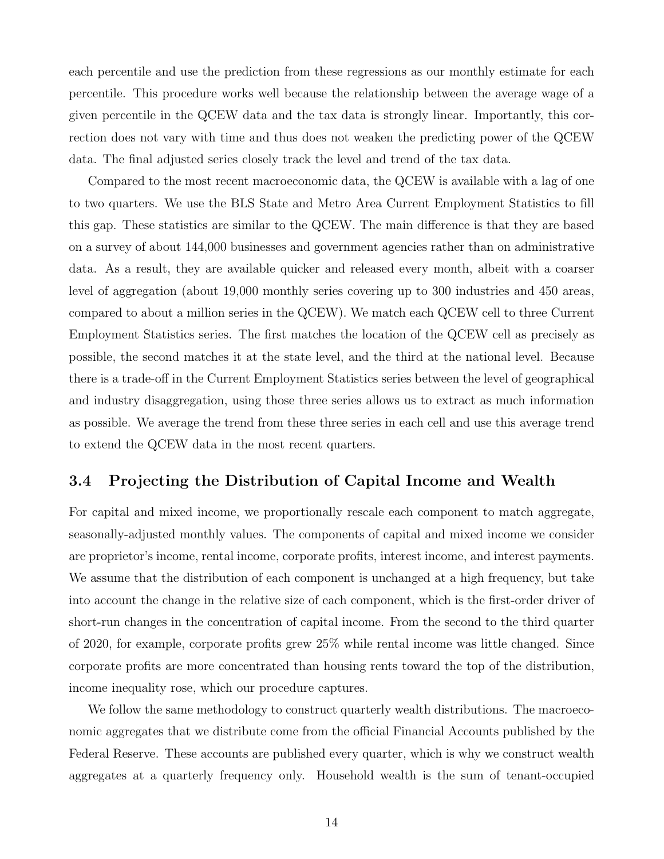each percentile and use the prediction from these regressions as our monthly estimate for each percentile. This procedure works well because the relationship between the average wage of a given percentile in the QCEW data and the tax data is strongly linear. Importantly, this correction does not vary with time and thus does not weaken the predicting power of the QCEW data. The final adjusted series closely track the level and trend of the tax data.

Compared to the most recent macroeconomic data, the QCEW is available with a lag of one to two quarters. We use the BLS State and Metro Area Current Employment Statistics to fill this gap. These statistics are similar to the QCEW. The main difference is that they are based on a survey of about 144,000 businesses and government agencies rather than on administrative data. As a result, they are available quicker and released every month, albeit with a coarser level of aggregation (about 19,000 monthly series covering up to 300 industries and 450 areas, compared to about a million series in the QCEW). We match each QCEW cell to three Current Employment Statistics series. The first matches the location of the QCEW cell as precisely as possible, the second matches it at the state level, and the third at the national level. Because there is a trade-off in the Current Employment Statistics series between the level of geographical and industry disaggregation, using those three series allows us to extract as much information as possible. We average the trend from these three series in each cell and use this average trend to extend the QCEW data in the most recent quarters.

## 3.4 Projecting the Distribution of Capital Income and Wealth

For capital and mixed income, we proportionally rescale each component to match aggregate, seasonally-adjusted monthly values. The components of capital and mixed income we consider are proprietor's income, rental income, corporate profits, interest income, and interest payments. We assume that the distribution of each component is unchanged at a high frequency, but take into account the change in the relative size of each component, which is the first-order driver of short-run changes in the concentration of capital income. From the second to the third quarter of 2020, for example, corporate profits grew 25% while rental income was little changed. Since corporate profits are more concentrated than housing rents toward the top of the distribution, income inequality rose, which our procedure captures.

We follow the same methodology to construct quarterly wealth distributions. The macroeconomic aggregates that we distribute come from the official Financial Accounts published by the Federal Reserve. These accounts are published every quarter, which is why we construct wealth aggregates at a quarterly frequency only. Household wealth is the sum of tenant-occupied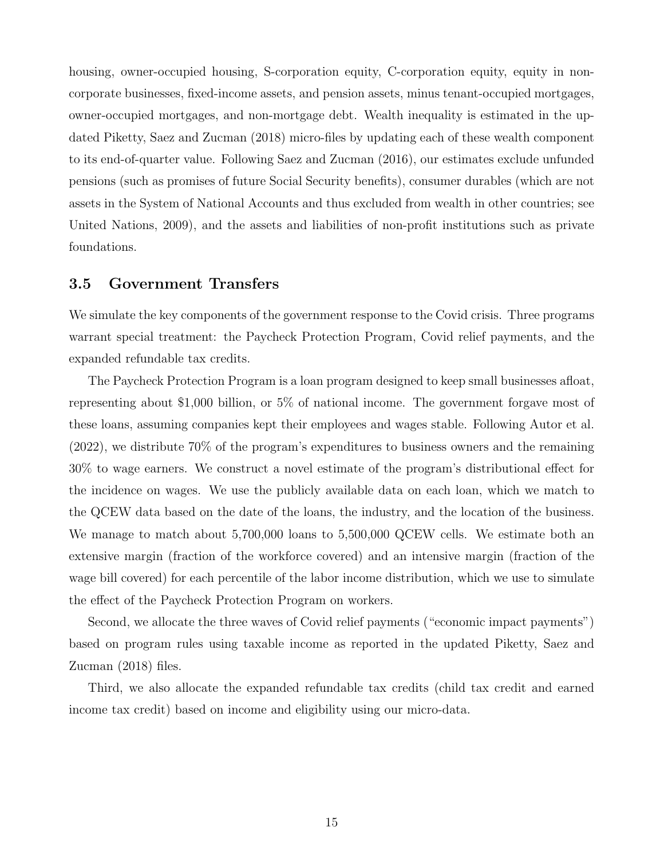housing, owner-occupied housing, S-corporation equity, C-corporation equity, equity in noncorporate businesses, fixed-income assets, and pension assets, minus tenant-occupied mortgages, owner-occupied mortgages, and non-mortgage debt. Wealth inequality is estimated in the updated Piketty, Saez and Zucman (2018) micro-files by updating each of these wealth component to its end-of-quarter value. Following Saez and Zucman (2016), our estimates exclude unfunded pensions (such as promises of future Social Security benefits), consumer durables (which are not assets in the System of National Accounts and thus excluded from wealth in other countries; see United Nations, 2009), and the assets and liabilities of non-profit institutions such as private foundations.

### 3.5 Government Transfers

We simulate the key components of the government response to the Covid crisis. Three programs warrant special treatment: the Paycheck Protection Program, Covid relief payments, and the expanded refundable tax credits.

The Paycheck Protection Program is a loan program designed to keep small businesses afloat, representing about \$1,000 billion, or 5% of national income. The government forgave most of these loans, assuming companies kept their employees and wages stable. Following Autor et al. (2022), we distribute 70% of the program's expenditures to business owners and the remaining 30% to wage earners. We construct a novel estimate of the program's distributional effect for the incidence on wages. We use the publicly available data on each loan, which we match to the QCEW data based on the date of the loans, the industry, and the location of the business. We manage to match about 5,700,000 loans to 5,500,000 QCEW cells. We estimate both an extensive margin (fraction of the workforce covered) and an intensive margin (fraction of the wage bill covered) for each percentile of the labor income distribution, which we use to simulate the effect of the Paycheck Protection Program on workers.

Second, we allocate the three waves of Covid relief payments ("economic impact payments") based on program rules using taxable income as reported in the updated Piketty, Saez and Zucman (2018) files.

Third, we also allocate the expanded refundable tax credits (child tax credit and earned income tax credit) based on income and eligibility using our micro-data.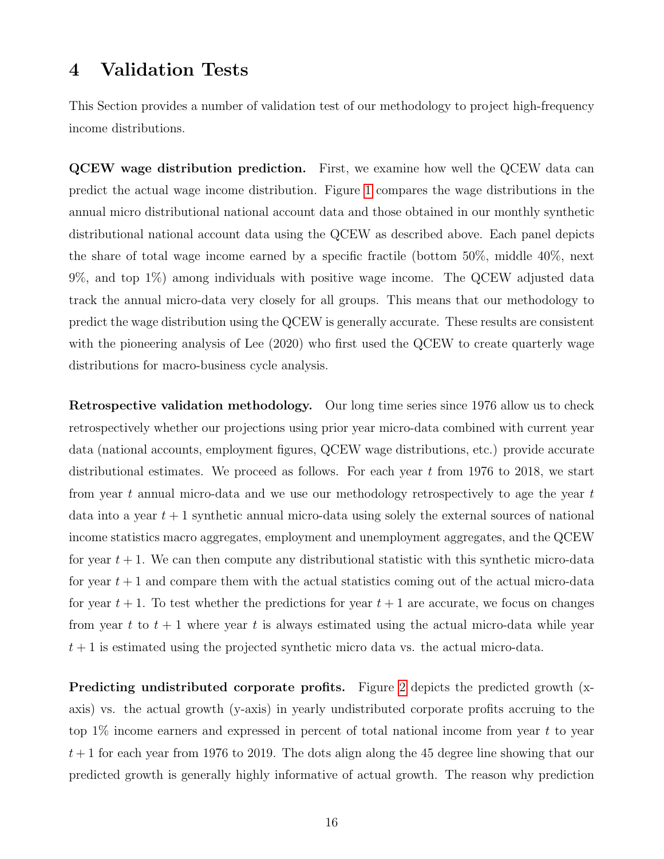## <span id="page-16-0"></span>4 Validation Tests

This Section provides a number of validation test of our methodology to project high-frequency income distributions.

QCEW wage distribution prediction. First, we examine how well the QCEW data can predict the actual wage income distribution. Figure [1](#page-25-0) compares the wage distributions in the annual micro distributional national account data and those obtained in our monthly synthetic distributional national account data using the QCEW as described above. Each panel depicts the share of total wage income earned by a specific fractile (bottom 50%, middle 40%, next 9%, and top 1%) among individuals with positive wage income. The QCEW adjusted data track the annual micro-data very closely for all groups. This means that our methodology to predict the wage distribution using the QCEW is generally accurate. These results are consistent with the pioneering analysis of Lee (2020) who first used the QCEW to create quarterly wage distributions for macro-business cycle analysis.

Retrospective validation methodology. Our long time series since 1976 allow us to check retrospectively whether our projections using prior year micro-data combined with current year data (national accounts, employment figures, QCEW wage distributions, etc.) provide accurate distributional estimates. We proceed as follows. For each year  $t$  from 1976 to 2018, we start from year t annual micro-data and we use our methodology retrospectively to age the year  $t$ data into a year  $t + 1$  synthetic annual micro-data using solely the external sources of national income statistics macro aggregates, employment and unemployment aggregates, and the QCEW for year  $t + 1$ . We can then compute any distributional statistic with this synthetic micro-data for year  $t + 1$  and compare them with the actual statistics coming out of the actual micro-data for year  $t + 1$ . To test whether the predictions for year  $t + 1$  are accurate, we focus on changes from year t to  $t + 1$  where year t is always estimated using the actual micro-data while year  $t + 1$  is estimated using the projected synthetic micro data vs. the actual micro-data.

Predicting undistributed corporate profits. Figure [2](#page-26-0) depicts the predicted growth (xaxis) vs. the actual growth (y-axis) in yearly undistributed corporate profits accruing to the top  $1\%$  income earners and expressed in percent of total national income from year t to year  $t + 1$  for each year from 1976 to 2019. The dots align along the 45 degree line showing that our predicted growth is generally highly informative of actual growth. The reason why prediction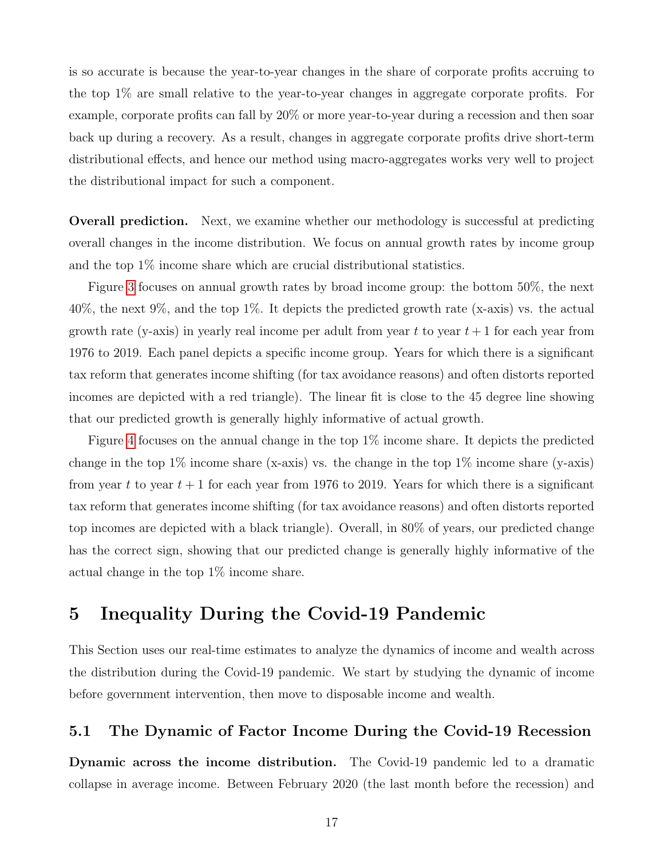is so accurate is because the year-to-year changes in the share of corporate profits accruing to the top 1% are small relative to the year-to-year changes in aggregate corporate profits. For example, corporate profits can fall by 20% or more year-to-year during a recession and then soar back up during a recovery. As a result, changes in aggregate corporate profits drive short-term distributional effects, and hence our method using macro-aggregates works very well to project the distributional impact for such a component.

Overall prediction. Next, we examine whether our methodology is successful at predicting overall changes in the income distribution. We focus on annual growth rates by income group and the top 1% income share which are crucial distributional statistics.

Figure [3](#page-27-0) focuses on annual growth rates by broad income group: the bottom 50%, the next 40%, the next 9%, and the top 1%. It depicts the predicted growth rate (x-axis) vs. the actual growth rate (y-axis) in yearly real income per adult from year t to year  $t + 1$  for each year from 1976 to 2019. Each panel depicts a specific income group. Years for which there is a significant tax reform that generates income shifting (for tax avoidance reasons) and often distorts reported incomes are depicted with a red triangle). The linear fit is close to the 45 degree line showing that our predicted growth is generally highly informative of actual growth.

Figure [4](#page-28-0) focuses on the annual change in the top 1% income share. It depicts the predicted change in the top  $1\%$  income share (x-axis) vs. the change in the top  $1\%$  income share (y-axis) from year t to year  $t + 1$  for each year from 1976 to 2019. Years for which there is a significant tax reform that generates income shifting (for tax avoidance reasons) and often distorts reported top incomes are depicted with a black triangle). Overall, in 80% of years, our predicted change has the correct sign, showing that our predicted change is generally highly informative of the actual change in the top 1% income share.

## <span id="page-17-1"></span>5 Inequality During the Covid-19 Pandemic

This Section uses our real-time estimates to analyze the dynamics of income and wealth across the distribution during the Covid-19 pandemic. We start by studying the dynamic of income before government intervention, then move to disposable income and wealth.

### <span id="page-17-0"></span>5.1 The Dynamic of Factor Income During the Covid-19 Recession

Dynamic across the income distribution. The Covid-19 pandemic led to a dramatic collapse in average income. Between February 2020 (the last month before the recession) and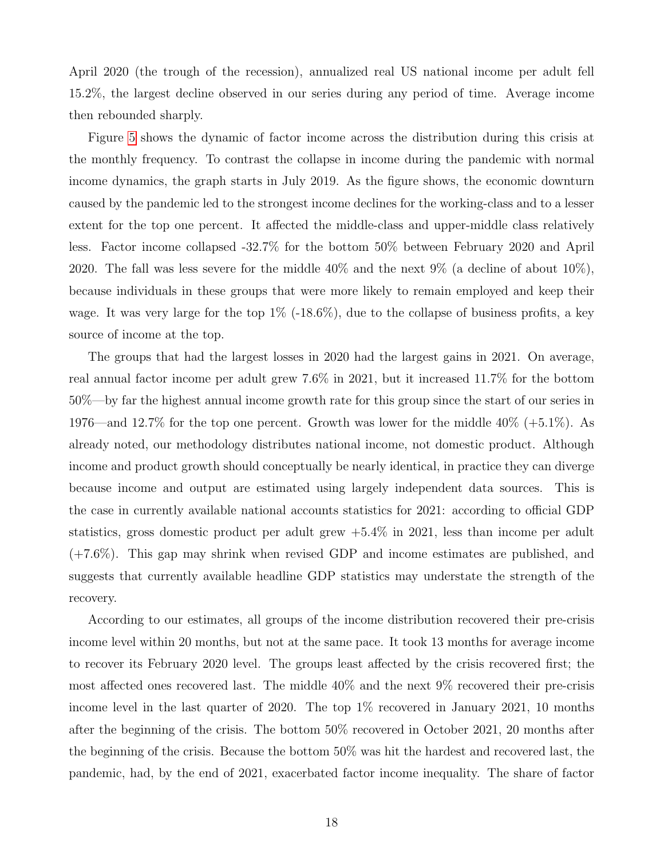April 2020 (the trough of the recession), annualized real US national income per adult fell 15.2%, the largest decline observed in our series during any period of time. Average income then rebounded sharply.

Figure [5](#page-29-0) shows the dynamic of factor income across the distribution during this crisis at the monthly frequency. To contrast the collapse in income during the pandemic with normal income dynamics, the graph starts in July 2019. As the figure shows, the economic downturn caused by the pandemic led to the strongest income declines for the working-class and to a lesser extent for the top one percent. It affected the middle-class and upper-middle class relatively less. Factor income collapsed -32.7% for the bottom 50% between February 2020 and April 2020. The fall was less severe for the middle  $40\%$  and the next  $9\%$  (a decline of about  $10\%$ ), because individuals in these groups that were more likely to remain employed and keep their wage. It was very large for the top  $1\%$  (-18.6%), due to the collapse of business profits, a key source of income at the top.

The groups that had the largest losses in 2020 had the largest gains in 2021. On average, real annual factor income per adult grew 7.6% in 2021, but it increased 11.7% for the bottom 50%—by far the highest annual income growth rate for this group since the start of our series in 1976—and 12.7% for the top one percent. Growth was lower for the middle  $40\%$  (+5.1%). As already noted, our methodology distributes national income, not domestic product. Although income and product growth should conceptually be nearly identical, in practice they can diverge because income and output are estimated using largely independent data sources. This is the case in currently available national accounts statistics for 2021: according to official GDP statistics, gross domestic product per adult grew  $+5.4\%$  in 2021, less than income per adult (+7.6%). This gap may shrink when revised GDP and income estimates are published, and suggests that currently available headline GDP statistics may understate the strength of the recovery.

According to our estimates, all groups of the income distribution recovered their pre-crisis income level within 20 months, but not at the same pace. It took 13 months for average income to recover its February 2020 level. The groups least affected by the crisis recovered first; the most affected ones recovered last. The middle 40% and the next 9% recovered their pre-crisis income level in the last quarter of 2020. The top 1% recovered in January 2021, 10 months after the beginning of the crisis. The bottom 50% recovered in October 2021, 20 months after the beginning of the crisis. Because the bottom 50% was hit the hardest and recovered last, the pandemic, had, by the end of 2021, exacerbated factor income inequality. The share of factor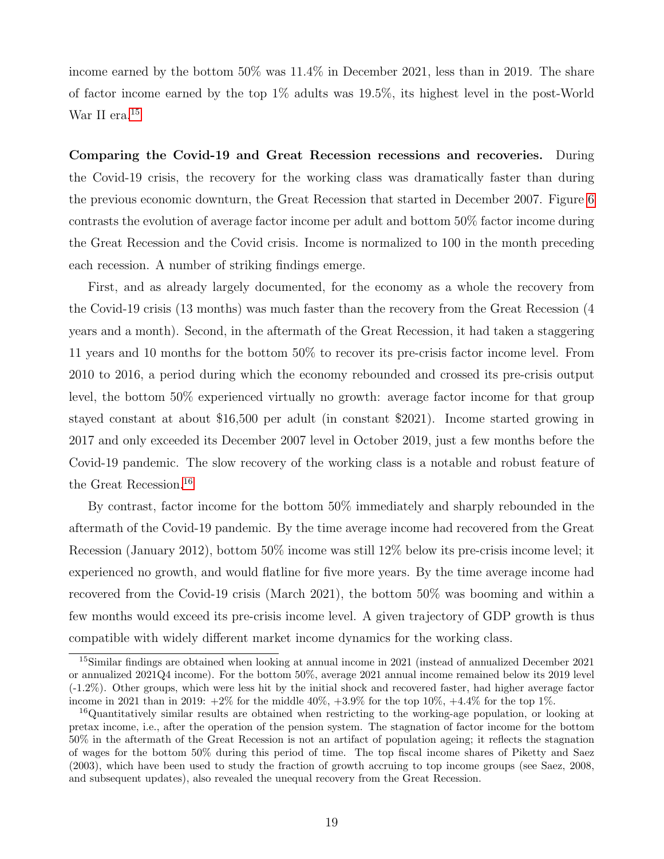income earned by the bottom 50% was 11.4% in December 2021, less than in 2019. The share of factor income earned by the top 1% adults was 19.5%, its highest level in the post-World War II era.<sup>[15](#page-0-0)</sup>

Comparing the Covid-19 and Great Recession recessions and recoveries. During the Covid-19 crisis, the recovery for the working class was dramatically faster than during the previous economic downturn, the Great Recession that started in December 2007. Figure [6](#page-30-0) contrasts the evolution of average factor income per adult and bottom 50% factor income during the Great Recession and the Covid crisis. Income is normalized to 100 in the month preceding each recession. A number of striking findings emerge.

First, and as already largely documented, for the economy as a whole the recovery from the Covid-19 crisis (13 months) was much faster than the recovery from the Great Recession (4 years and a month). Second, in the aftermath of the Great Recession, it had taken a staggering 11 years and 10 months for the bottom 50% to recover its pre-crisis factor income level. From 2010 to 2016, a period during which the economy rebounded and crossed its pre-crisis output level, the bottom 50% experienced virtually no growth: average factor income for that group stayed constant at about \$16,500 per adult (in constant \$2021). Income started growing in 2017 and only exceeded its December 2007 level in October 2019, just a few months before the Covid-19 pandemic. The slow recovery of the working class is a notable and robust feature of the Great Recession.[16](#page-0-0)

By contrast, factor income for the bottom 50% immediately and sharply rebounded in the aftermath of the Covid-19 pandemic. By the time average income had recovered from the Great Recession (January 2012), bottom 50% income was still 12% below its pre-crisis income level; it experienced no growth, and would flatline for five more years. By the time average income had recovered from the Covid-19 crisis (March 2021), the bottom 50% was booming and within a few months would exceed its pre-crisis income level. A given trajectory of GDP growth is thus compatible with widely different market income dynamics for the working class.

<sup>15</sup>Similar findings are obtained when looking at annual income in 2021 (instead of annualized December 2021 or annualized 2021Q4 income). For the bottom 50%, average 2021 annual income remained below its 2019 level (-1.2%). Other groups, which were less hit by the initial shock and recovered faster, had higher average factor income in 2021 than in 2019:  $+2\%$  for the middle 40%,  $+3.9\%$  for the top 10%,  $+4.4\%$  for the top 1%.

<sup>&</sup>lt;sup>16</sup>Quantitatively similar results are obtained when restricting to the working-age population, or looking at pretax income, i.e., after the operation of the pension system. The stagnation of factor income for the bottom 50% in the aftermath of the Great Recession is not an artifact of population ageing; it reflects the stagnation of wages for the bottom 50% during this period of time. The top fiscal income shares of Piketty and Saez (2003), which have been used to study the fraction of growth accruing to top income groups (see Saez, 2008, and subsequent updates), also revealed the unequal recovery from the Great Recession.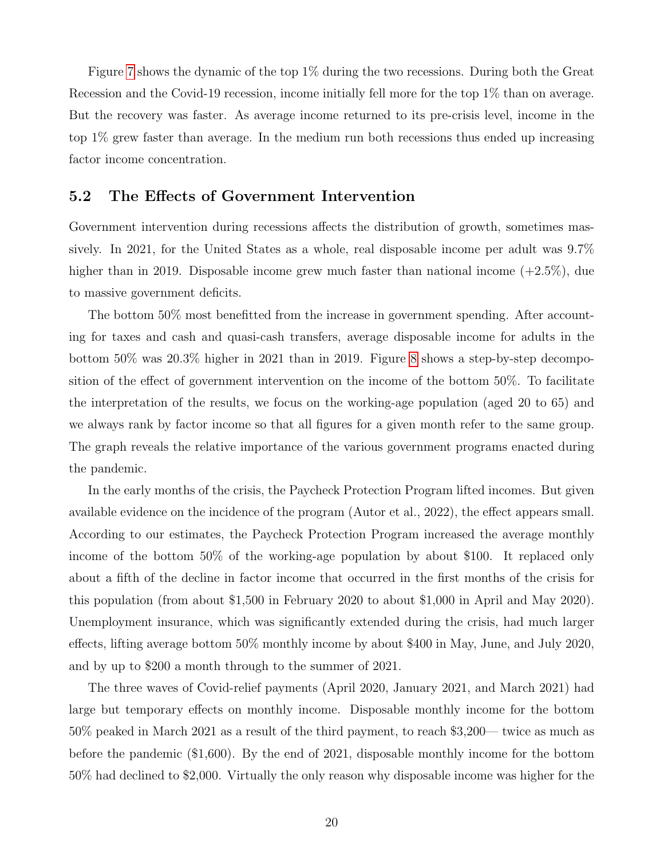Figure [7](#page-31-0) shows the dynamic of the top 1% during the two recessions. During both the Great Recession and the Covid-19 recession, income initially fell more for the top 1% than on average. But the recovery was faster. As average income returned to its pre-crisis level, income in the top 1% grew faster than average. In the medium run both recessions thus ended up increasing factor income concentration.

### 5.2 The Effects of Government Intervention

Government intervention during recessions affects the distribution of growth, sometimes massively. In 2021, for the United States as a whole, real disposable income per adult was 9.7% higher than in 2019. Disposable income grew much faster than national income  $(+2.5\%)$ , due to massive government deficits.

The bottom 50% most benefitted from the increase in government spending. After accounting for taxes and cash and quasi-cash transfers, average disposable income for adults in the bottom 50% was 20.3% higher in 2021 than in 2019. Figure [8](#page-32-0) shows a step-by-step decomposition of the effect of government intervention on the income of the bottom 50%. To facilitate the interpretation of the results, we focus on the working-age population (aged 20 to 65) and we always rank by factor income so that all figures for a given month refer to the same group. The graph reveals the relative importance of the various government programs enacted during the pandemic.

In the early months of the crisis, the Paycheck Protection Program lifted incomes. But given available evidence on the incidence of the program (Autor et al., 2022), the effect appears small. According to our estimates, the Paycheck Protection Program increased the average monthly income of the bottom 50% of the working-age population by about \$100. It replaced only about a fifth of the decline in factor income that occurred in the first months of the crisis for this population (from about \$1,500 in February 2020 to about \$1,000 in April and May 2020). Unemployment insurance, which was significantly extended during the crisis, had much larger effects, lifting average bottom 50% monthly income by about \$400 in May, June, and July 2020, and by up to \$200 a month through to the summer of 2021.

The three waves of Covid-relief payments (April 2020, January 2021, and March 2021) had large but temporary effects on monthly income. Disposable monthly income for the bottom 50% peaked in March 2021 as a result of the third payment, to reach \$3,200— twice as much as before the pandemic (\$1,600). By the end of 2021, disposable monthly income for the bottom 50% had declined to \$2,000. Virtually the only reason why disposable income was higher for the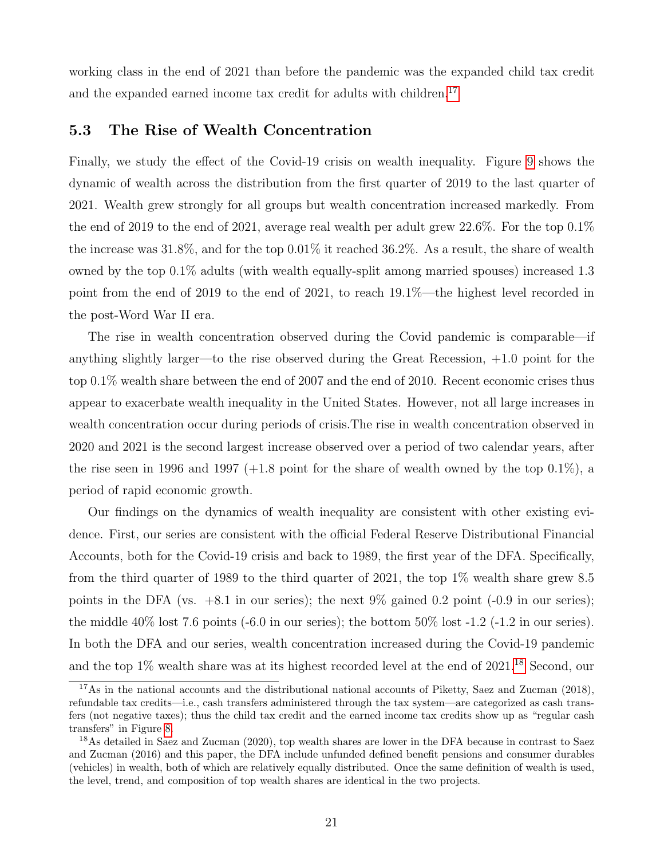working class in the end of 2021 than before the pandemic was the expanded child tax credit and the expanded earned income tax credit for adults with children.<sup>[17](#page-0-0)</sup>

### <span id="page-21-0"></span>5.3 The Rise of Wealth Concentration

Finally, we study the effect of the Covid-19 crisis on wealth inequality. Figure [9](#page-33-0) shows the dynamic of wealth across the distribution from the first quarter of 2019 to the last quarter of 2021. Wealth grew strongly for all groups but wealth concentration increased markedly. From the end of 2019 to the end of 2021, average real wealth per adult grew 22.6%. For the top  $0.1\%$ the increase was 31.8%, and for the top 0.01% it reached 36.2%. As a result, the share of wealth owned by the top 0.1% adults (with wealth equally-split among married spouses) increased 1.3 point from the end of 2019 to the end of 2021, to reach 19.1%—the highest level recorded in the post-Word War II era.

The rise in wealth concentration observed during the Covid pandemic is comparable—if anything slightly larger—to the rise observed during the Great Recession, +1.0 point for the top 0.1% wealth share between the end of 2007 and the end of 2010. Recent economic crises thus appear to exacerbate wealth inequality in the United States. However, not all large increases in wealth concentration occur during periods of crisis.The rise in wealth concentration observed in 2020 and 2021 is the second largest increase observed over a period of two calendar years, after the rise seen in 1996 and 1997  $(+1.8 \text{ point for the share of wealth owned by the top 0.1%), a$ period of rapid economic growth.

Our findings on the dynamics of wealth inequality are consistent with other existing evidence. First, our series are consistent with the official Federal Reserve Distributional Financial Accounts, both for the Covid-19 crisis and back to 1989, the first year of the DFA. Specifically, from the third quarter of 1989 to the third quarter of 2021, the top 1% wealth share grew 8.5 points in the DFA (vs.  $+8.1$  in our series); the next 9% gained 0.2 point (-0.9 in our series); the middle 40% lost 7.6 points (-6.0 in our series); the bottom 50% lost -1.2 (-1.2 in our series). In both the DFA and our series, wealth concentration increased during the Covid-19 pandemic and the top 1% wealth share was at its highest recorded level at the end of 2021.[18](#page-0-0) Second, our

<sup>&</sup>lt;sup>17</sup>As in the national accounts and the distributional national accounts of Piketty, Saez and Zucman (2018), refundable tax credits—i.e., cash transfers administered through the tax system—are categorized as cash transfers (not negative taxes); thus the child tax credit and the earned income tax credits show up as "regular cash transfers" in Figure [8.](#page-32-0)

<sup>&</sup>lt;sup>18</sup>As detailed in Saez and Zucman (2020), top wealth shares are lower in the DFA because in contrast to Saez and Zucman (2016) and this paper, the DFA include unfunded defined benefit pensions and consumer durables (vehicles) in wealth, both of which are relatively equally distributed. Once the same definition of wealth is used, the level, trend, and composition of top wealth shares are identical in the two projects.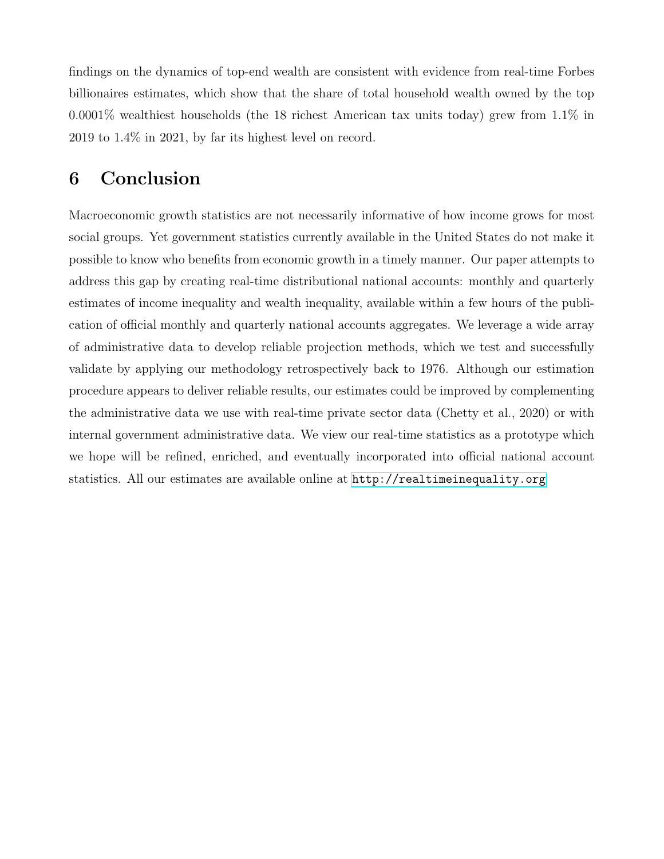findings on the dynamics of top-end wealth are consistent with evidence from real-time Forbes billionaires estimates, which show that the share of total household wealth owned by the top 0.0001% wealthiest households (the 18 richest American tax units today) grew from 1.1% in 2019 to 1.4% in 2021, by far its highest level on record.

# <span id="page-22-0"></span>6 Conclusion

Macroeconomic growth statistics are not necessarily informative of how income grows for most social groups. Yet government statistics currently available in the United States do not make it possible to know who benefits from economic growth in a timely manner. Our paper attempts to address this gap by creating real-time distributional national accounts: monthly and quarterly estimates of income inequality and wealth inequality, available within a few hours of the publication of official monthly and quarterly national accounts aggregates. We leverage a wide array of administrative data to develop reliable projection methods, which we test and successfully validate by applying our methodology retrospectively back to 1976. Although our estimation procedure appears to deliver reliable results, our estimates could be improved by complementing the administrative data we use with real-time private sector data (Chetty et al., 2020) or with internal government administrative data. We view our real-time statistics as a prototype which we hope will be refined, enriched, and eventually incorporated into official national account statistics. All our estimates are available online at <http://realtimeinequality.org>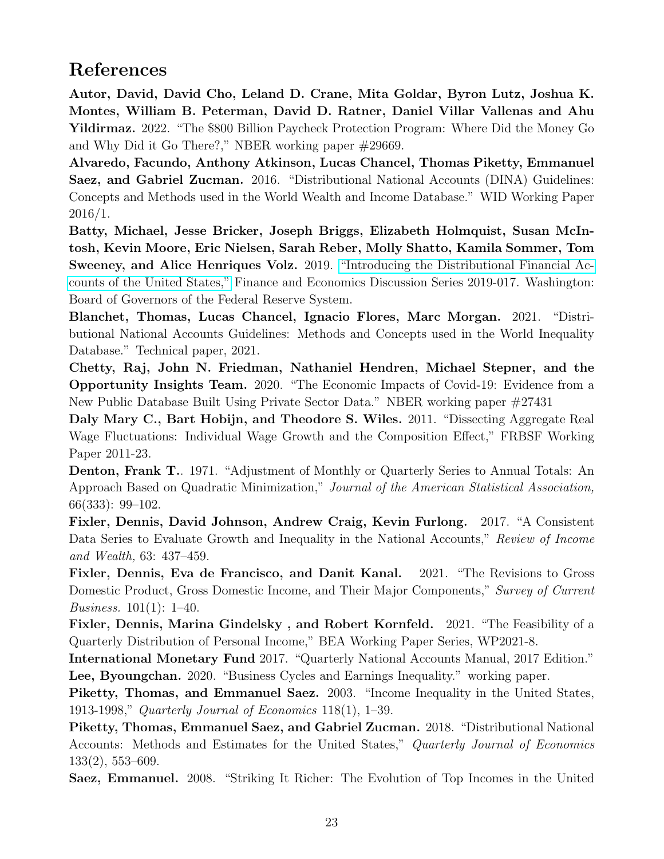# References

Autor, David, David Cho, Leland D. Crane, Mita Goldar, Byron Lutz, Joshua K. Montes, William B. Peterman, David D. Ratner, Daniel Villar Vallenas and Ahu Yildirmaz. 2022. "The \$800 Billion Paycheck Protection Program: Where Did the Money Go and Why Did it Go There?," NBER working paper #29669.

Alvaredo, Facundo, Anthony Atkinson, Lucas Chancel, Thomas Piketty, Emmanuel Saez, and Gabriel Zucman. 2016. "Distributional National Accounts (DINA) Guidelines: Concepts and Methods used in the World Wealth and Income Database." WID Working Paper 2016/1.

Batty, Michael, Jesse Bricker, Joseph Briggs, Elizabeth Holmquist, Susan McIntosh, Kevin Moore, Eric Nielsen, Sarah Reber, Molly Shatto, Kamila Sommer, Tom Sweeney, and Alice Henriques Volz. 2019. ["Introducing the Distributional Financial Ac](https://doi.org/10.17016/FEDS.2019.017)[counts of the United States,"](https://doi.org/10.17016/FEDS.2019.017) Finance and Economics Discussion Series 2019-017. Washington: Board of Governors of the Federal Reserve System.

Blanchet, Thomas, Lucas Chancel, Ignacio Flores, Marc Morgan. 2021. "Distributional National Accounts Guidelines: Methods and Concepts used in the World Inequality Database." Technical paper, 2021.

Chetty, Raj, John N. Friedman, Nathaniel Hendren, Michael Stepner, and the Opportunity Insights Team. 2020. "The Economic Impacts of Covid-19: Evidence from a New Public Database Built Using Private Sector Data." NBER working paper #27431

Daly Mary C., Bart Hobijn, and Theodore S. Wiles. 2011. "Dissecting Aggregate Real Wage Fluctuations: Individual Wage Growth and the Composition Effect," FRBSF Working Paper 2011-23.

Denton, Frank T.. 1971. "Adjustment of Monthly or Quarterly Series to Annual Totals: An Approach Based on Quadratic Minimization," Journal of the American Statistical Association, 66(333): 99–102.

Fixler, Dennis, David Johnson, Andrew Craig, Kevin Furlong. 2017. "A Consistent Data Series to Evaluate Growth and Inequality in the National Accounts," Review of Income and Wealth, 63: 437–459.

Fixler, Dennis, Eva de Francisco, and Danit Kanal. 2021. "The Revisions to Gross Domestic Product, Gross Domestic Income, and Their Major Components," Survey of Current *Business.* 101(1): 1–40.

Fixler, Dennis, Marina Gindelsky , and Robert Kornfeld. 2021. "The Feasibility of a Quarterly Distribution of Personal Income," BEA Working Paper Series, WP2021-8.

International Monetary Fund 2017. "Quarterly National Accounts Manual, 2017 Edition." Lee, Byoungchan. 2020. "Business Cycles and Earnings Inequality." working paper.

Piketty, Thomas, and Emmanuel Saez. 2003. "Income Inequality in the United States, 1913-1998," Quarterly Journal of Economics 118(1), 1–39.

Piketty, Thomas, Emmanuel Saez, and Gabriel Zucman. 2018. "Distributional National Accounts: Methods and Estimates for the United States," Quarterly Journal of Economics 133(2), 553–609.

Saez, Emmanuel. 2008. "Striking It Richer: The Evolution of Top Incomes in the United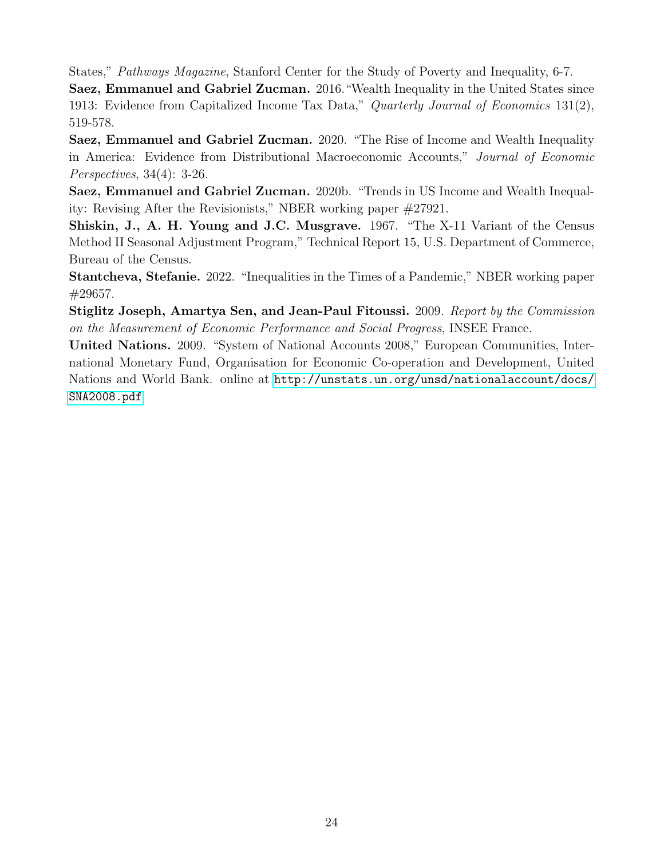States," Pathways Magazine, Stanford Center for the Study of Poverty and Inequality, 6-7.

Saez, Emmanuel and Gabriel Zucman. 2016."Wealth Inequality in the United States since 1913: Evidence from Capitalized Income Tax Data," Quarterly Journal of Economics 131(2), 519-578.

Saez, Emmanuel and Gabriel Zucman. 2020. "The Rise of Income and Wealth Inequality in America: Evidence from Distributional Macroeconomic Accounts," Journal of Economic Perspectives, 34(4): 3-26.

Saez, Emmanuel and Gabriel Zucman. 2020b. "Trends in US Income and Wealth Inequality: Revising After the Revisionists," NBER working paper #27921.

Shiskin, J., A. H. Young and J.C. Musgrave. 1967. "The X-11 Variant of the Census Method II Seasonal Adjustment Program," Technical Report 15, U.S. Department of Commerce, Bureau of the Census.

Stantcheva, Stefanie. 2022. "Inequalities in the Times of a Pandemic," NBER working paper #29657.

Stiglitz Joseph, Amartya Sen, and Jean-Paul Fitoussi. 2009. Report by the Commission on the Measurement of Economic Performance and Social Progress, INSEE France.

United Nations. 2009. "System of National Accounts 2008," European Communities, International Monetary Fund, Organisation for Economic Co-operation and Development, United Nations and World Bank. online at [http://unstats.un.org/unsd/nationalaccount/docs/](http://unstats.un.org/unsd/nationalaccount/docs/SNA2008.pdf) [SNA2008.pdf](http://unstats.un.org/unsd/nationalaccount/docs/SNA2008.pdf)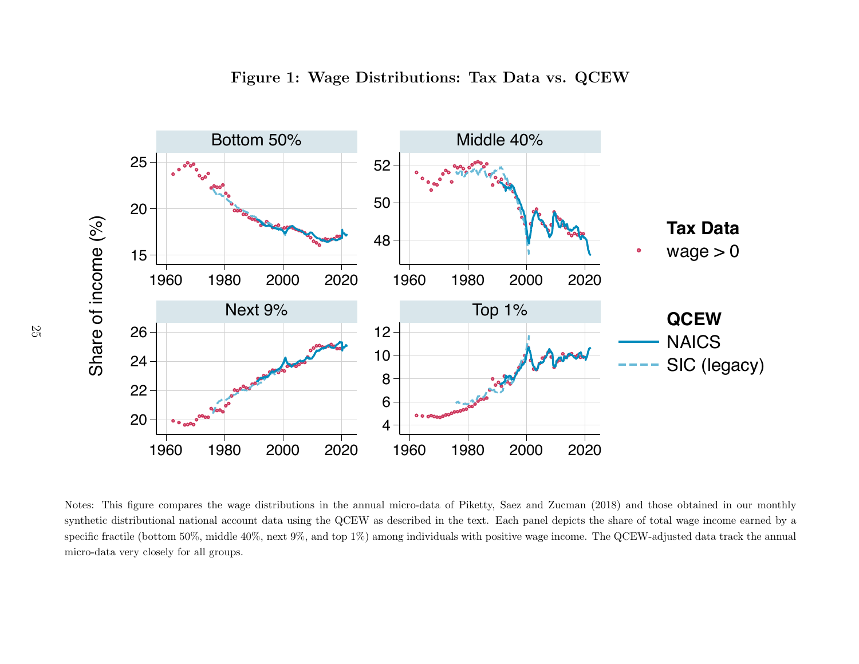

Figure 1: Wage Distributions: Tax Data vs. QCEW





<span id="page-25-0"></span>Notes: This figure compares the wage distributions in the annual micro-data of Piketty, Saez and Zucman (2018) and those obtained in our monthly synthetic distributional national account data using the QCEW as described in the text. Each panel depicts the share of total wage income earned by <sup>a</sup>specific fractile (bottom 50%, middle 40%, next 9%, and top 1%) among individuals with positive wage income. The QCEW-adjusted data track the annual micro-data very closely for all groups.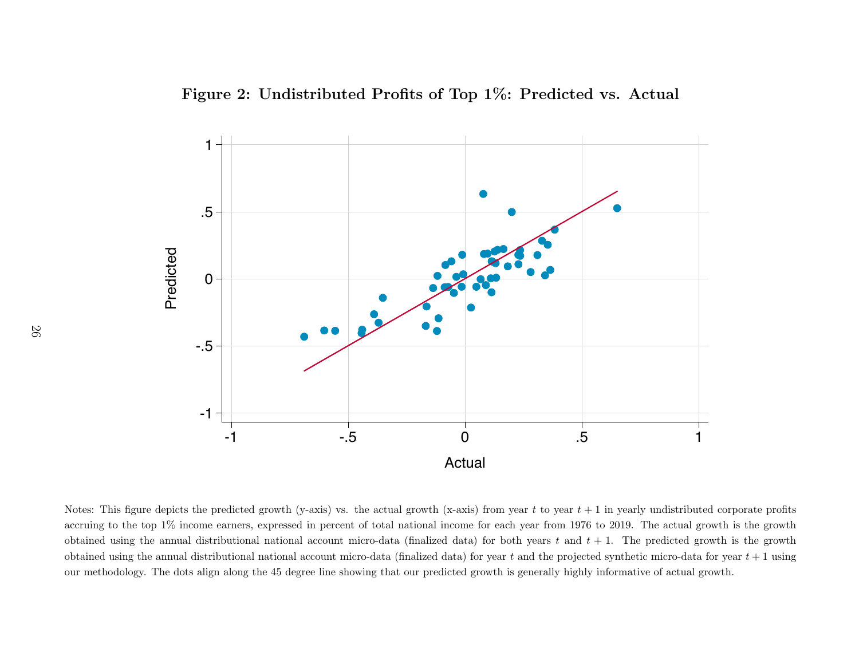Figure 2: Undistributed Profits of Top  $1\%$ : Predicted vs. Actual



<span id="page-26-0"></span>Notes: This figure depicts the predicted growth (y-axis) vs. the actual growth (x-axis) from year  $t$  to year  $t + 1$  in yearly undistributed corporate profits accruing to the top 1% income earners, expressed in percent of total national income for each year from 1976 to 2019. The actual growth is the growthobtained using the annual distributional national account micro-data (finalized data) for both years  $t$  and  $t + 1$ . The predicted growth is the growth obtained using the annual distributional national account micro-data (finalized data) for year  $t$  and the projected synthetic micro-data for year  $t+1$  using our methodology. The dots align along the 45 degree line showing that our predicted growth is generally highly informative of actual growth.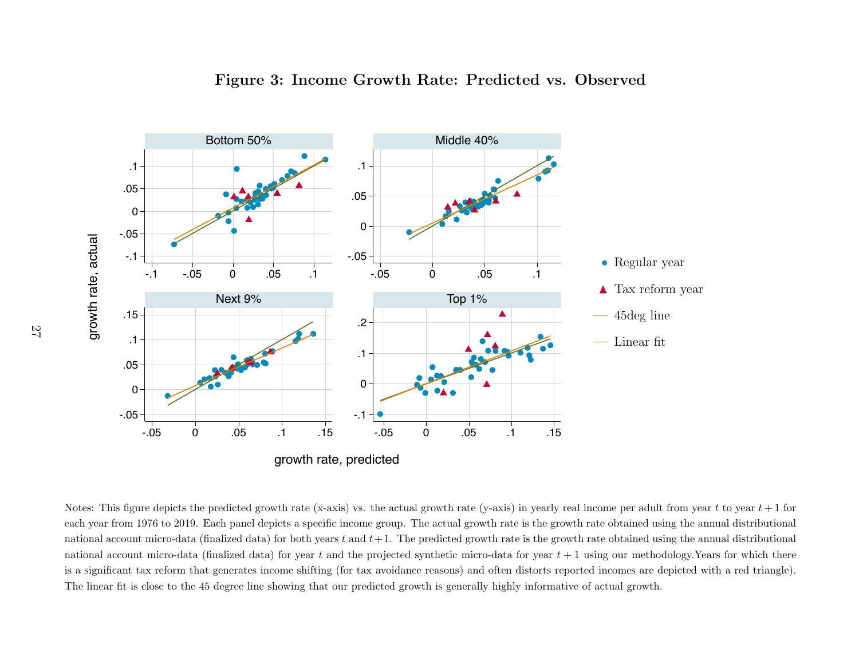

<span id="page-27-0"></span>Notes: This figure depicts the predicted growth rate (x-axis) vs. the actual growth rate (y-axis) in yearly real income per adult from year  $t$  to year  $t + 1$  for each year from 1976 to 2019. Each panel depicts <sup>a</sup> specific income group. The actual growth rate is the growth rate obtained using the annual distributionalnational account micro-data (finalized data) for both years  $t$  and  $t+1$ . The predicted growth rate is the growth rate obtained using the annual distributional national account micro-data (finalized data) for year  $t$  and the projected synthetic micro-data for year  $t + 1$  using our methodology.Years for which there is <sup>a</sup> significant tax reform that generates income shifting (for tax avoidance reasons) and often distorts reported incomes are depicted with <sup>a</sup> red triangle).The linear fit is close to the 45 degree line showing that our predicted growth is generally highly informative of actual growth.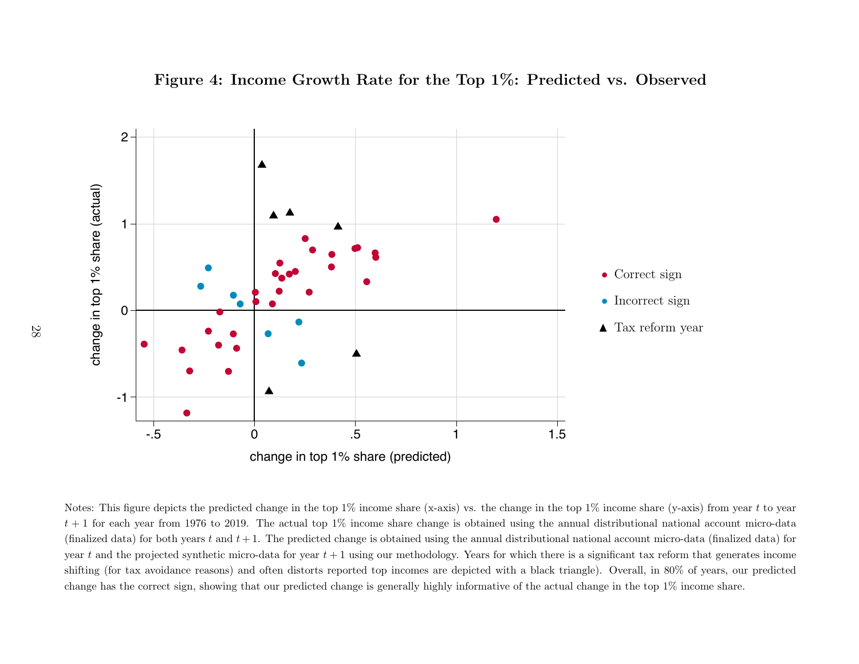<span id="page-28-0"></span>



Notes: This figure depicts the predicted change in the top 1% income share (x-axis) vs. the change in the top 1% income share (y-axis) from year t to year  $t + 1$  for each year from 1976 to 2019. The actual top 1% income share change is obtained using the annual distributional national account micro-data (finalized data) for both years  $t$  and  $t + 1$ . The predicted change is obtained using the annual distributional national account micro-data (finalized data) for year t and the projected synthetic micro-data for year  $t + 1$  using our methodology. Years for which there is a significant tax reform that generates income shifting (for tax avoidance reasons) and often distorts reported top incomes are depicted with <sup>a</sup> black triangle). Overall, in 80% of years, our predictedchange has the correct sign, showing that our predicted change is generally highly informative of the actual change in the top 1% income share.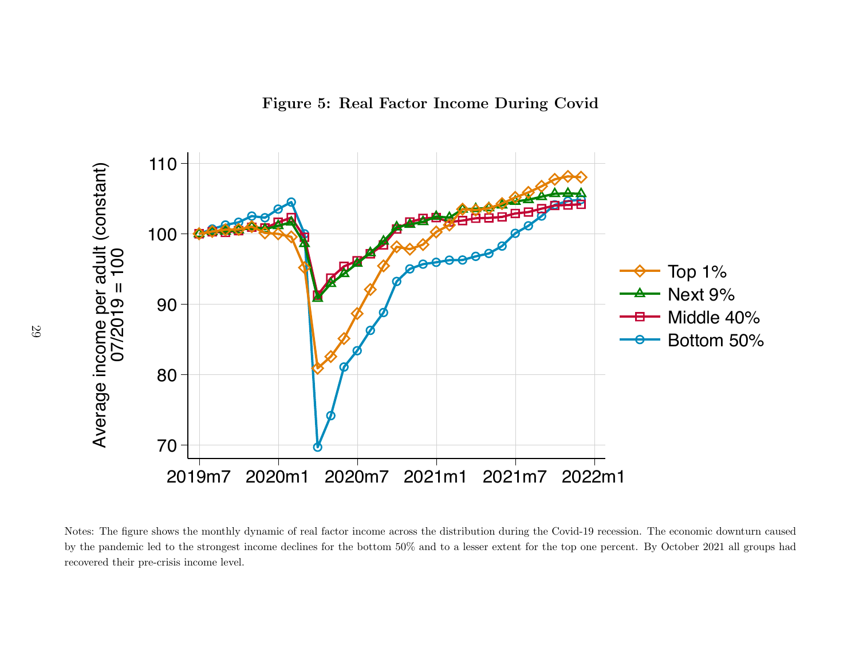

<span id="page-29-0"></span>Notes: The figure shows the monthly dynamic of real factor income across the distribution during the Covid-19 recession. The economic downturn caused by the pandemic led to the strongest income declines for the bottom 50% and to <sup>a</sup> lesser extent for the top one percent. By October 2021 all groups hadrecovered their pre-crisis income level.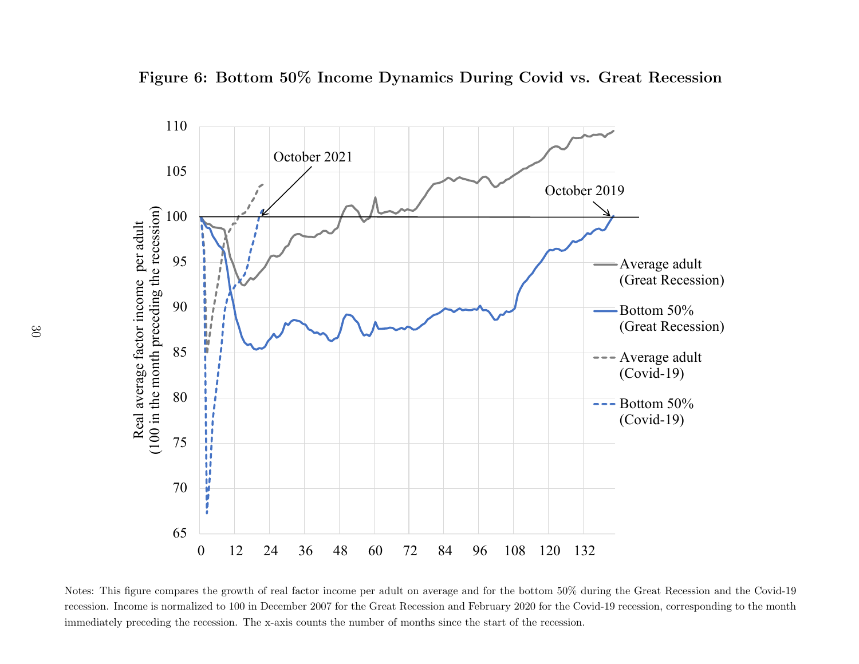

<span id="page-30-0"></span>Figure 6: Bottom 50% Income Dynamics During Covid vs. Great Recession

Notes: This figure compares the growth of real factor income per adult on average and for the bottom 50% during the Great Recession and the Covid-19 recession. Income is normalized to 100 in December 2007 for the Great Recession and February 2020 for the Covid-19 recession, corresponding to the monthimmediately preceding the recession. The x-axis counts the number of months since the start of the recession.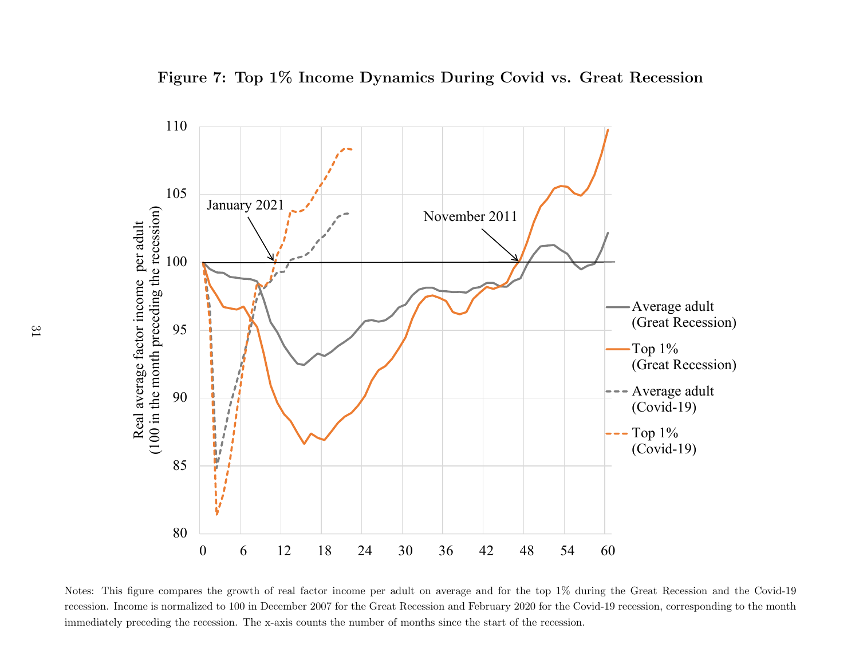<span id="page-31-0"></span>



Notes: This figure compares the growth of real factor income per adult on average and for the top 1% during the Great Recession and the Covid-19recession. Income is normalized to 100 in December 2007 for the Great Recession and February 2020 for the Covid-19 recession, corresponding to the monthimmediately preceding the recession. The x-axis counts the number of months since the start of the recession.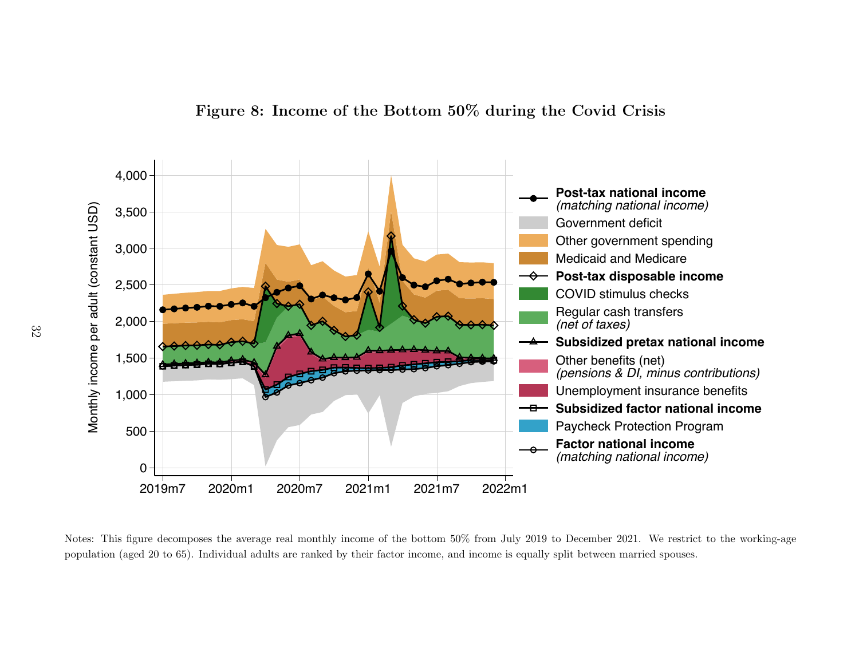



<span id="page-32-0"></span>Notes: This figure decomposes the average real monthly income of the bottom 50% from July 2019 to December 2021. We restrict to the working-agepopulation (aged <sup>20</sup> to 65). Individual adults are ranked by their factor income, and income is equally split between married spouses.